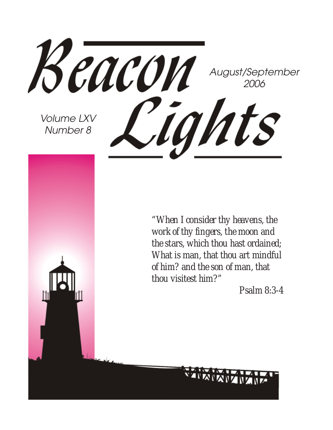

*"When I consider thy heavens, the work of thy fingers, the moon and the stars, which thou hast ordained; What is man, that thou art mindful of him? and the son of man, that thou visitest him?"*

*Psalm 8:3-4*

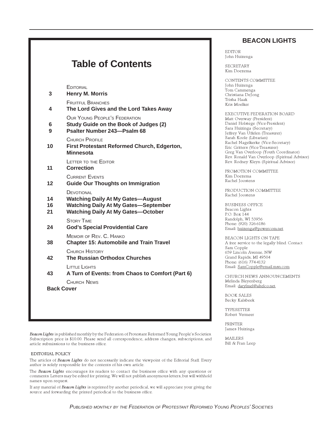#### **Table of Contents EDITORIAL 3 Henry M. Morris** FRUITFUL BRANCHES **4 The Lord Gives and the Lord Takes Away** OUR YOUNG PEOPLE'S FEDERATION **6 Study Guide on the Book of Judges (2) 9 Psalter Number 243—Psalm 68** CHURCH PROFILE **10 First Protestant Reformed Church, Edgerton, Minnesota** LETTER TO THE EDITOR **11 Correction** CURRENT EVENTS **12 Guide Our Thoughts on Immigration DEVOTIONAL 14 Watching Daily At My Gates—August 16 Watching Daily At My Gates—September 21 Watching Daily At My Gates—October** STORY TIME **24 God's Special Providential Care** MEMOIR OF REV. C. HANKO **38 Chapter 15: Automobile and Train Travel** CHURCH HISTORY **42 The Russian Orthodox Churches** LITTLE LIGHTS **43 A Turn of Events: from Chaos to Comfort (Part 6)** CHURCH NEWS **Back Cover**

Beacon Lights is published monthly by the Federation of Protestant Reformed Young People's Societies. Subscription price is \$10.00. Please send all correspondence, address changes, subscriptions, and article submissions to the business office.

#### EDITORIAL POLICY

The articles of Beacon Lights do not necessarily indicate the viewpoint of the Editorial Staff. Every author is solely responsible for the contents of his own article.

The Beacon Lights encourages its readers to contact the business office with any questions or comments. Letters may be edited for printing. We will not publish anonymous letters, but will withhold names upon request.

If any material of Beacon Lights is reprinted by another periodical, we will appreciate your giving the source and forwarding the printed periodical to the business office.

#### **BEACON LIGHTS**

EDITOR John Huizenga

SECRETARY Kim Doezema

CONTENTS COMMITTEE John Huizenga Tom Cammenga Christiana DeJong Trisha Haak Kris Moelker

EXECUTIVE FEDERATION BOARD Matt Overway (President) Daniel Holstege (Vice-President) Sara Huizinga (Secretary) Jeffrey Van Uffelen (Treasurer) Sarah Koole (Librarian) Rachel Nagelkerke (Vice-Secretary) Eric Gritters (Vice-Treasurer) Greg Van Overloop (Youth Coordinator) Rev. Ronald Van Overloop (Spiritual Advisor) Rev. Rodney Kleyn (Spiritual Advisor)

PROMOTION COMMITTEE Kim Doezema Rachel Joostens

PRODUCTION COMMITTEE Rachel Joostens

BUSINESS OFFICE Beacon Lights P.O. Box 144 Randolph, WI 53956 Phone: (920) 326-6186 Email: huizenga@powercom.net

BEACON LIGHTS ON TAPE A free service to the legally blind. Contact Sam Copple 659 Lincoln Avenue, NW Grand Rapids, MI 49504 Phone: (616) 774-4132 Email: SamCopple@email.msn.com

CHURCH NEWS ANNOUNCEMENTS Melinda Bleyenberg Email: darylmel@altelco.net.

BOOK SALES Becky Kalsbeek

TYPESETTER Robert Vermeer

PRINTER James Huizinga

MAILERS Bill & Fran Leep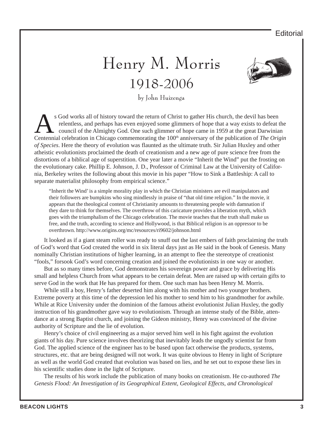#### **Editorial**

### Henry M. Morris 1918-2006



by John Huizenga

s God works all of history toward the return of Christ to gather His church, the devil has been relentless, and perhaps has even enjoyed some glimmers of hope that a way exists to defeat the council of the Almighty God. One such glimmer of hope came in 1959 at the great Darwinian Centennial celebration in Chicago commemorating the 100<sup>th</sup> anniversary of the publication of *The Origin of Species*. Here the theory of evolution was flaunted as the ultimate truth. Sir Julian Huxley and other atheistic evolutionists proclaimed the death of creationism and a new age of pure science free from the distortions of a biblical age of superstition. One year later a movie "Inherit the Wind" put the frosting on the evolutionary cake. Phillip E. Johnson, J. D., Professor of Criminal Law at the University of California, Berkeley writes the following about this movie in his paper "How to Sink a Battleship: A call to separate materialist philosophy from empirical science."

"Inherit the Wind' is a simple morality play in which the Christian ministers are evil manipulators and their followers are bumpkins who sing mindlessly in praise of "that old time religion." In the movie, it appears that the theological content of Christianity amounts to threatening people with damnation if they dare to think for themselves. The overthrow of this caricature provides a liberation myth, which goes with the triumphalism of the Chicago celebration. The movie teaches that the truth shall make us free, and the truth, according to science and Hollywood, is that Biblical religion is an oppressor to be overthrown. http://www.origins.org/mc/resources/ri9602/johnson.html

It looked as if a giant steam roller was ready to snuff out the last embers of faith proclaiming the truth of God's word that God created the world in six literal days just as He said in the book of Genesis. Many nominally Christian institutions of higher learning, in an attempt to flee the stereotype of creationist "fools," forsook God's word concerning creation and joined the evolutionists in one way or another.

But as so many times before, God demonstrates his sovereign power and grace by delivering His small and helpless Church from what appears to be certain defeat. Men are raised up with certain gifts to serve God in the work that He has prepared for them. One such man has been Henry M. Morris.

While still a boy, Henry's father deserted him along with his mother and two younger brothers. Extreme poverty at this time of the depression led his mother to send him to his grandmother for awhile. While at Rice University under the dominion of the famous atheist evolutionist Julian Huxley, the godly instruction of his grandmother gave way to evolutionism. Through an intense study of the Bible, attendance at a strong Baptist church, and joining the Gideon ministry, Henry was convinced of the divine authority of Scripture and the lie of evolution.

Henry's choice of civil engineering as a major served him well in his fight against the evolution giants of his day. Pure science involves theorizing that inevitably leads the ungodly scientist far from God. The applied science of the engineer has to be based upon fact otherwise the products, systems, structures, etc. that are being designed will not work. It was quite obvious to Henry in light of Scripture as well as the world God created that evolution was based on lies, and he set out to expose these lies in his scientific studies done in the light of Scripture.

The results of his work include the publication of many books on creationism. He co-authored *The Genesis Flood: An Investigation of its Geographical Extent, Geological Effects, and Chronological*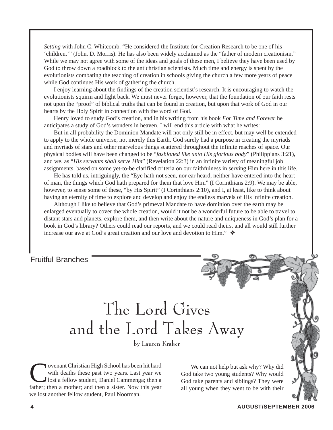*Setting* with John C. Whitcomb. "He considered the Institute for Creation Research to be one of his 'children.'" (John. D. Morris). He has also been widely acclaimed as the "father of modern creationism." While we may not agree with some of the ideas and goals of these men, I believe they have been used by God to throw down a roadblock to the antichristian scientists. Much time and energy is spent by the evolutionists combating the teaching of creation in schools giving the church a few more years of peace while God continues His work of gathering the church.

I enjoy learning about the findings of the creation scientist's research. It is encouraging to watch the evolutionists squirm and fight back. We must never forget, however, that the foundation of our faith rests not upon the "proof" of biblical truths that can be found in creation, but upon that work of God in our hearts by the Holy Spirit in connection with the word of God.

Henry loved to study God's creation, and in his writing from his book *For Time and Forever* he anticipates a study of God's wonders in heaven. I will end this article with what he writes:

But in all probability the Dominion Mandate will not only still be in effect, but may well be extended to apply to the whole universe, not merely this Earth. God surely had a purpose in creating the myriads and myriads of stars and other marvelous things scattered throughout the infinite reaches of space. Our physical bodies will have been changed to be "*fashioned like unto His glorious body*" (Philippians 3:21), and we, as "*His servants shall serve Him*" (Revelation 22:3) in an infinite variety of meaningful job assignments, based on some yet-to-be clarified criteria on our faithfulness in serving Him here in this life.

He has told us, intriguingly, the "Eye hath not seen, nor ear heard, neither have entered into the heart of man, the things which God hath prepared for them that love Him" (I Corinthians 2:9). We may be able, however, to sense some of these, "by His Spirit" (I Corinthians 2:10), and I, at least, like to think about having an eternity of time to explore and develop and enjoy the endless marvels of His infinite creation.

Although I like to believe that God's primeval Mandate to have dominion over the earth may be enlarged eventually to cover the whole creation, would it not be a wonderful future to be able to travel to distant stars and planets, explore them, and then write about the nature and uniqueness in God's plan for a book in God's library? Others could read our reports, and we could read theirs, and all would still further increase our awe at God's great creation and our love and devotion to Him." ❖

Fruitful Branches

### The Lord Gives and the Lord Takes Away

by Lauren Kraker

**Covenant Christian High School has been hit hard** with deaths these past two years. Last year we lost a fellow student, Daniel Cammenga; then a father: then a mother: and then a sister. Now this year with deaths these past two years. Last year we lost a fellow student, Daniel Cammenga; then a father; then a mother; and then a sister. Now this year we lost another fellow student, Paul Noorman.

We can not help but ask why? Why did God take two young students? Why would God take parents and siblings? They were all young when they went to be with their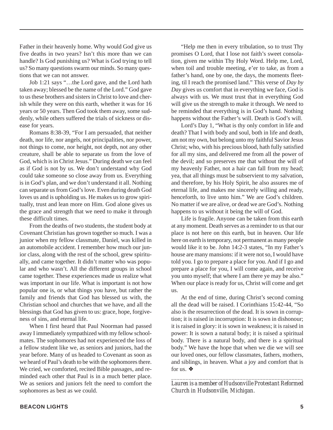Father in their heavenly home. Why would God give us five deaths in two years? Isn't this more than we can handle? Is God punishing us? What is God trying to tell us? So many questions swarm our minds. So many questions that we can not answer.

Job 1:21 says "…the Lord gave, and the Lord hath taken away; blessed be the name of the Lord." God gave to us these brothers and sisters in Christ to love and cherish while they were on this earth, whether it was for 16 years or 50 years. Then God took them away, some suddenly, while others suffered the trials of sickness or disease for years.

Romans 8:38-39, "For I am persuaded, that neither death, nor life, nor angels, not principalities, nor power, not things to come, nor height, not depth, not any other creature, shall be able to separate us from the love of God, which is in Christ Jesus." During death we can feel as if God is not by us. We don't understand why God could take someone so close away from us. Everything is in God's plan, and we don't understand it all. Nothing can separate us from God's love. Even during death God loves us and is upholding us. He makes us to grow spiritually, trust and lean more on Him. God alone gives us the grace and strength that we need to make it through these difficult times.

From the deaths of two students, the student body at Covenant Christian has grown together so much. I was a junior when my fellow classmate, Daniel, was killed in an automobile accident. I remember how much our junior class, along with the rest of the school, grew spiritually, and came together. It didn't matter who was popular and who wasn't. All the different groups in school came together. These experiences made us realize what was important in our life. What is important is not how popular one is, or what things you have, but rather the family and friends that God has blessed us with, the Christian school and churches that we have, and all the blessings that God has given to us: grace, hope, forgiveness of sins, and eternal life.

When I first heard that Paul Noorman had passed away I immediately sympathized with my fellow schoolmates. The sophomores had not experienced the loss of a fellow student like we, as seniors and juniors, had the year before. Many of us headed to Covenant as soon as we heard of Paul's death to be with the sophomores there. We cried, we comforted, recited Bible passages, and reminded each other that Paul is in a much better place. We as seniors and juniors felt the need to comfort the sophomores as best as we could.

"Help me then in every tribulation, so to trust Thy promises O Lord, that I lose not faith's sweet consolation, given me within Thy Holy Word. Help me, Lord, when toil and trouble meeting, e'er to take, as from a father's hand, one by one, the days, the moments fleeting, til I reach the promised land." This verse of *Day by Day* gives us comfort that in everything we face, God is always with us. We must trust that in everything God will give us the strength to make it through. We need to be reminded that everything is in God's hand. Nothing happens without the Father's will. Death is God's will.

Lord's Day 1, "What is thy only comfort in life and death? That I with body and soul, both in life and death, am not my own, but belong unto my faithful Savior Jesus Christ; who, with his precious blood, hath fully satisfied for all my sins, and delivered me from all the power of the devil; and so preserves me that without the will of my heavenly Father, not a hair can fall from my head; yea, that all things must be subservient to my salvation, and therefore, by his Holy Spirit, he also assures me of eternal life, and makes me sincerely willing and ready, henceforth, to live unto him." We are God's children. No matter if we are alive, or dead we are God's. Nothing happens to us without it being the will of God.

Life is fragile. Anyone can be taken from this earth at any moment. Death serves as a reminder to us that our place is not here on this earth, but in heaven. Our life here on earth is temporary, not permanent as many people would like it to be. John 14:2-3 states, "In my Father's house are many mansions: if it were not so, I would have told you. I go to prepare a place for you. And if I go and prepare a place for you, I will come again, and receive you unto myself; that where I am there ye may be also." When our place is ready for us, Christ will come and get us.

At the end of time, during Christ's second coming all the dead will be raised. I Corinthians 15:42-44, "So also is the resurrection of the dead. It is sown in corruption; it is raised in incorruption: It is sown in dishonour; it is raised in glory: it is sown in weakness; it is raised in power: It is sown a natural body; it is raised a spiritual body. There is a natural body, and there is a spiritual body." We have the hope that when we die we will see our loved ones, our fellow classmates, fathers, mothers, and siblings, in heaven. What a joy and comfort that is for us. ❖

*\_\_\_\_\_\_\_\_\_\_\_\_\_\_\_\_\_\_\_\_\_\_\_\_\_\_\_\_\_\_\_\_\_\_\_\_\_\_\_\_\_\_\_\_\_\_ Lauren is a member of Hudsonville Protestant Reformed Church in Hudsonville, Michigan.*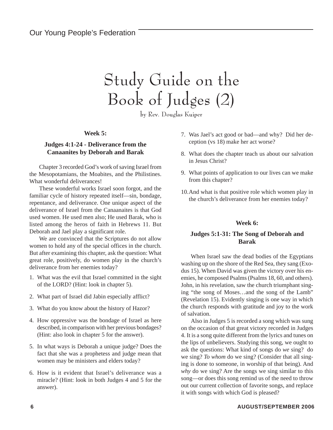### Study Guide on the Book of Judges (2)

by Rev. Douglas Kuiper

**Week 5:**

#### **Judges 4:1-24 - Deliverance from the Canaanites by Deborah and Barak**

Chapter 3 recorded God's work of saving Israel from the Mesopotamians, the Moabites, and the Philistines. What wonderful deliverances!

These wonderful works Israel soon forgot, and the familiar cycle of history repeated itself—sin, bondage, repentance, and deliverance. One unique aspect of the deliverance of Israel from the Canaanaites is that God used women. He used men also; He used Barak, who is listed among the heros of faith in Hebrews 11. But Deborah and Jael play a significant role.

We are convinced that the Scriptures do not allow women to hold any of the special offices in the church. But after examining this chapter, ask the question: What great role, positively, do women play in the church's deliverance from her enemies today?

- 1. What was the evil that Israel committed in the sight of the LORD? (Hint: look in chapter 5).
- 2. What part of Israel did Jabin especially afflict?
- 3. What do you know about the history of Hazor?
- 4. How oppressive was the bondage of Israel as here described, in comparison with her previous bondages? (Hint: also look in chapter 5 for the answer).
- 5. In what ways is Deborah a unique judge? Does the fact that she was a prophetess and judge mean that women may be ministers and elders today?
- 6. How is it evident that Israel's deliverance was a miracle? (Hint: look in both Judges 4 and 5 for the answer).
- 7. Was Jael's act good or bad—and why? Did her deception (vs 18) make her act worse?
- 8. What does the chapter teach us about our salvation in Jesus Christ?
- 9. What points of application to our lives can we make from this chapter?
- 10.And what is that positive role which women play in the church's deliverance from her enemies today?

#### **Week 6:**

#### **Judges 5:1-31: The Song of Deborah and Barak**

When Israel saw the dead bodies of the Egyptians washing up on the shore of the Red Sea, they sang (Exodus 15). When David was given the victory over his enemies, he composed Psalms (Psalms 18, 60, and others). John, in his revelation, saw the church triumphant singing "the song of Moses…and the song of the Lamb" (Revelation 15). Evidently singing is one way in which the church responds with gratitude and joy to the work of salvation.

Also in Judges 5 is recorded a song which was sung on the occasion of that great victory recorded in Judges 4. It is a song quite different from the lyrics and tunes on the lips of unbelievers. Studying this song, we ought to ask the questions: What kind of songs do *we* sing? do we sing? *To whom* do we sing? (Consider that all singing is done to someone, in worship of that being). And *why* do we sing? Are the songs we sing similar to this song—or does this song remind us of the need to throw out our current collection of favorite songs, and replace it with songs with which God is pleased?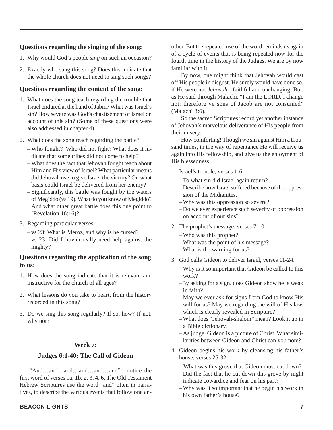#### **Questions regarding the singing of the song:**

- 1. Why would God's people *sing* on such an occasion?
- 2. Exactly who sang this song? Does this indicate that the whole church does not need to sing such songs?

#### **Questions regarding the content of the song:**

- 1. What does the song teach regarding the trouble that Israel endured at the hand of Jabin? What was Israel's sin? How severe was God's chastisement of Israel on account of this sin? (Some of these questions were also addressed in chapter 4).
- 2. What does the song teach regarding the battle?
	- Who fought? Who did not fight? What does it indicate that some tribes did not come to help?
	- What does the fact that Jehovah fought teach about Him and His view of Israel? What particular means did Jehovah use to give Israel the victory? On what basis could Israel be delivered from her enemy?
	- Significantly, this battle was fought by the waters of Megiddo (vs 19). What do you know of Megiddo? And what other great battle does this one point to (Revelation 16:16)?
- 3. Regarding particular verses:
	- vs 23: What is Meroz, and why is he cursed?
	- vs 23: Did Jehovah really need help against the mighty?

#### **Questions regarding the application of the song to us:**

- 1. How does the song indicate that it is relevant and instructive for the church of all ages?
- 2. What lessons do you take to heart, from the history recorded in this song?
- 3. Do we sing this song regularly? If so, how? If not, why not?

#### **Week 7:**

#### **Judges 6:1-40: The Call of Gideon**

"And…and…and…and…and…and"—notice the first word of verses 1a, 1b, 2, 3, 4, 6. The Old Testament Hebrew Scriptures use the word "and" often in narratives, to describe the various events that follow one an-

#### **BEACON LIGHTS 7**

other. But the repeated use of the word reminds us again of a cycle of events that is being repeated now for the fourth time in the history of the Judges. We are by now familiar with it.

By now, one might think that Jehovah would cast off His people in disgust. He surely would have done so, if He were not *Jehovah—*faithful and unchanging. But, as He said through Malachi, "I am the LORD, I change not: therefore ye sons of Jacob are not consumed" (Malachi 3:6).

So the sacred Scriptures record yet another instance of Jehovah's marvelous deliverance of His people from their misery.

How comforting! Though we sin against Him a thousand times, in the way of repentance He will receive us again into His fellowship, and give us the enjoyment of His blessedness!

- 1. Israel's trouble, verses 1-6.
	- To what sin did Israel again return?
	- Describe how Israel suffered because of the oppression of the Midianites.
	- Why was this oppression so severe?
	- Do we ever experience such severity of oppression on account of our sins?
- 2. The prophet's message, verses 7-10.
	- Who was this prophet?
	- What was the point of his message?
	- What is the warning for us?
- 3. God calls Gideon to deliver Israel, verses 11-24.
	- Why is it so important that Gideon be called to this work?
	- –By asking for a sign, does Gideon show he is weak in faith?
	- May we ever ask for signs from God to know His will for us? May we regarding the will of His law, which is clearly revealed in Scripture?
	- What does "Jehovah-shalom" mean? Look it up in a Bible dictionary.
	- As judge, Gideon is a picture of Christ. What similarities between Gideon and Christ can you note?
- 4. Gideon begins his work by cleansing his father's house, verses 25-32.
	- What was this grove that Gideon must cut down?
	- Did the fact that he cut down this grove by night indicate cowardice and fear on his part?
	- Why was it so important that he begin his work in his own father's house?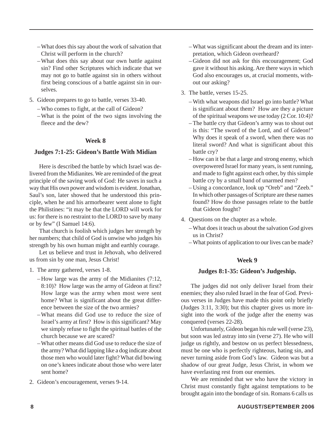- What does this say about the work of salvation that Christ will perform in the church?
- What does this say about our own battle against sin? Find other Scriptures which indicate that we may not go to battle against sin in others without first being conscious of a battle against sin in ourselves.
- 5. Gideon prepares to go to battle, verses 33-40.
	- Who comes to fight, at the call of Gideon?
	- What is the point of the two signs involving the fleece and the dew?

#### **Week 8**

#### **Judges 7:1-25: Gideon's Battle With Midian**

Here is described the battle by which Israel was delivered from the Midianites. We are reminded of the great principle of the saving work of God: He saves in such a way that His own power and wisdom is evident. Jonathan, Saul's son, later showed that he understood this principle, when he and his armorbearer went alone to fight the Philistines: "it may be that the LORD will work for us: for there is no restraint to the LORD to save by many or by few" (I Samuel 14:6).

That church is foolish which judges her strength by her numbers; that child of God is unwise who judges his strength by his own human might and earthly courage.

Let us believe and trust in Jehovah, who delivered us from sin by one man, Jesus Christ!

- 1. The army gathered, verses 1-8.
	- How large was the army of the Midianites (7:12, 8:10)? How large was the army of Gideon at first? How large was the army when most were sent home? What is significant about the great difference between the size of the two armies?
	- What means did God use to reduce the size of Israel's army at first? How is this significant? May we simply refuse to fight the spiritual battles of the church because we are scared?
	- What other means did God use to reduce the size of the army? What did lapping like a dog indicate about those men who would later fight? What did bowing on one's knees indicate about those who were later sent home?
- 2. Gideon's encouragement, verses 9-14.
- What was significant about the dream and its interpretation, which Gideon overheard?
- Gideon did not ask for this encouragement; God gave it without his asking. Are there ways in which God also encourages us, at crucial moments, without our asking?
- 3. The battle, verses 15-25.
	- With what weapons did Israel go into battle? What is significant about them? How are they a picture of the spiritual weapons we use today (2 Cor. 10:4)?
	- The battle cry that Gideon's army was to shout out is this: "The sword of the Lord, and of Gideon!" Why does it speak of a sword, when there was no literal sword? And what is significant about this battle cry?
	- How can it be that a large and strong enemy, which overpowered Israel for many years, is sent running, and made to fight against each other, by this simple battle cry by a small band of unarmed men?
	- Using a concordance, look up "Oreb" and "Zeeb." In which other passages of Scripture are these names found? How do those passages relate to the battle that Gideon fought?
- 4. Questions on the chapter as a whole.
	- What does it teach us about the salvation God gives us in Christ?
	- What points of application to our lives can be made?

#### **Week 9**

#### **Judges 8:1-35: Gideon's Judgeship.**

The judges did not only deliver Israel from their enemies; they also ruled Israel in the fear of God. Previous verses in Judges have made this point only briefly (Judges 3:11, 3:30); but this chapter gives us more insight into the work of the judge after the enemy was conquered (verses 22-28).

Unfortunately, Gideon began his rule well (verse 23), but soon was led astray into sin (verse 27). He who will judge us rightly, and bestow on us perfect blessedness, must be one who is perfectly righteous, hating sin, and never turning aside from God's law. Gideon was but a shadow of our great Judge, Jesus Christ, in whom we have everlasting rest from our enemies.

We are reminded that we who have the victory in Christ must constantly fight against temptations to be brought again into the bondage of sin. Romans 6 calls us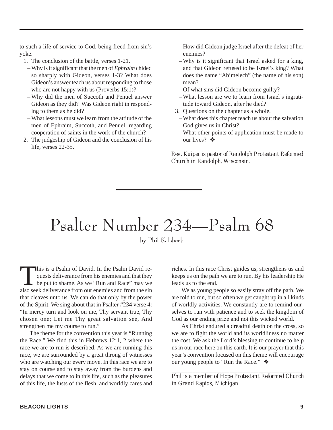to such a life of service to God, being freed from sin's yoke.

- 1. The conclusion of the battle, verses 1-21.
- Why is it significant that the men of *Ephraim* chided so sharply with Gideon, verses 1-3? What does Gideon's answer teach us about responding to those who are not happy with us (Proverbs 15:1)?
- Why did the men of Succoth and Penuel answer Gideon as they did? Was Gideon right in responding to them as he did?
- What lessons must we learn from the attitude of the men of Ephraim, Succoth, and Penuel, regarding cooperation of saints in the work of the church?
- 2. The judgeship of Gideon and the conclusion of his life, verses 22-35.
- How did Gideon judge Israel after the defeat of her enemies?
- Why is it significant that Israel asked for a king, and that Gideon refused to be Israel's king? What does the name "Abimelech" (the name of his son) mean?
- Of what sins did Gideon become guilty?
- What lesson are we to learn from Israel's ingratitude toward Gideon, after he died?
- 3. Questions on the chapter as a whole.
- What does this chapter teach us about the salvation God gives us in Christ?
- What other points of application must be made to our lives?  $♦$

*\_\_\_\_\_\_\_\_\_\_\_\_\_\_\_\_\_\_\_\_\_\_\_\_\_\_\_\_\_\_\_\_\_\_\_\_\_\_\_\_\_\_\_\_\_\_\_\_\_ Rev. Kuiper is pastor of Randolph Protestant Reformed Church in Randolph, Wisconsin.*

# Psalter Number 234—Psalm 68

by Phil Kalsbeek

This is a Psalm of David. In the Psalm David requests deliverance from his enemies and that they be put to shame. As we "Run and Race" may we also seek deliverance from our enemies and from the sin quests deliverance from his enemies and that they be put to shame. As we "Run and Race" may we also seek deliverance from our enemies and from the sin that cleaves unto us. We can do that only by the power of the Spirit. We sing about that in Psalter #234 verse 4: "In mercy turn and look on me, Thy servant true, Thy chosen one; Let me Thy great salvation see, And strengthen me my course to run."

The theme for the convention this year is "Running the Race." We find this in Hebrews 12:1, 2 where the race we are to run is described. As we are running this race, we are surrounded by a great throng of witnesses who are watching our every move. In this race we are to stay on course and to stay away from the burdens and delays that we come to in this life, such as the pleasures of this life, the lusts of the flesh, and worldly cares and

riches. In this race Christ guides us, strengthens us and keeps us on the path we are to run. By his leadership He leads us to the end.

We as young people so easily stray off the path. We are told to run, but so often we get caught up in all kinds of worldly activities. We constantly are to remind ourselves to run with patience and to seek the kingdom of God as our ending prize and not this wicked world.

As Christ endured a dreadful death on the cross, so we are to fight the world and its worldliness no matter the cost. We ask the Lord's blessing to continue to help us in our race here on this earth. It is our prayer that this year's convention focused on this theme will encourage our young people to "Run the Race." ❖

*\_\_\_\_\_\_\_\_\_\_\_\_\_\_\_\_\_\_\_\_\_\_\_\_\_\_\_\_\_\_\_\_\_\_\_\_\_\_\_\_\_\_\_\_\_\_\_\_\_\_ Phil is a member of Hope Protestant Reformed Church in Grand Rapids, Michigan.*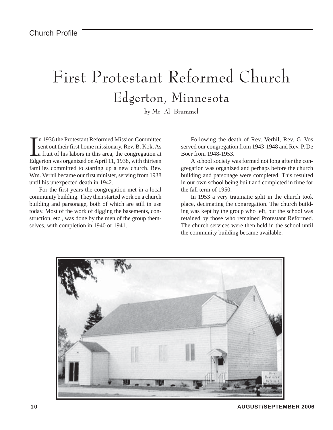### First Protestant Reformed Church Edgerton, Minnesota

by Mr. Al Brummel

In 1936 the Protestant Reformed Mission Committee<br>sent out their first home missionary, Rev. B. Kok. As<br>a fruit of his labors in this area, the congregation at<br>Edgerton was organized on April 11, 1938, with thirteen n 1936 the Protestant Reformed Mission Committee sent out their first home missionary, Rev. B. Kok. As a fruit of his labors in this area, the congregation at families committed to starting up a new church. Rev. Wm. Verhil became our first minister, serving from 1938 until his unexpected death in 1942.

For the first years the congregation met in a local community building. They then started work on a church building and parsonage, both of which are still in use today. Most of the work of digging the basements, construction, etc., was done by the men of the group themselves, with completion in 1940 or 1941.

Following the death of Rev. Verhil, Rev. G. Vos served our congregation from 1943-1948 and Rev. P. De Boer from 1948-1953.

A school society was formed not long after the congregation was organized and perhaps before the church building and parsonage were completed. This resulted in our own school being built and completed in time for the fall term of 1950.

In 1953 a very traumatic split in the church took place, decimating the congregation. The church building was kept by the group who left, but the school was retained by those who remained Protestant Reformed. The church services were then held in the school until the community building became available.

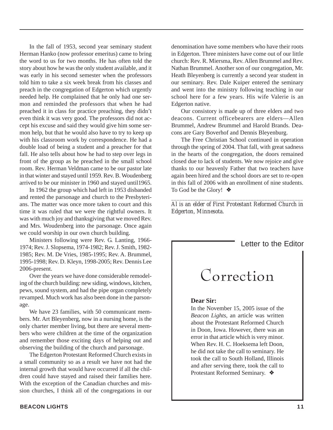In the fall of 1953, second year seminary student Herman Hanko (now professor emeritus) came to bring the word to us for two months. He has often told the story about how he was the only student available, and it was early in his second semester when the professors told him to take a six week break from his classes and preach in the congregation of Edgerton which urgently needed help. He complained that he only had one sermon and reminded the professors that when he had preached it in class for practice preaching, they didn't even think it was very good. The professors did not accept his excuse and said they would give him some sermon help, but that he would also have to try to keep up with his classroom work by correspondence. He had a double load of being a student and a preacher for that fall. He also tells about how he had to step over legs in front of the group as he preached in the small school room. Rev. Herman Veldman came to be our pastor late in that winter and stayed until 1959. Rev. B. Woudenberg arrived to be our minister in 1960 and stayed until1965.

In 1962 the group which had left in 1953 disbanded and rented the parsonage and church to the Presbyterians. The matter was once more taken to court and this time it was ruled that we were the rightful owners. It was with much joy and thanksgiving that we moved Rev. and Mrs. Woudenberg into the parsonage. Once again we could worship in our own church building.

Ministers following were Rev. G. Lanting, 1966- 1974; Rev. J. Slopsema, 1974-1982; Rev. J. Smith, 1982- 1985; Rev. M. De Vries, 1985-1995; Rev. A. Brummel, 1995-1998; Rev. D. Kleyn, 1998-2005; Rev. Dennis Lee 2006-present.

Over the years we have done considerable remodeling of the church building: new siding, windows, kitchen, pews, sound system, and had the pipe organ completely revamped. Much work has also been done in the parsonage.

We have 23 families, with 50 communicant members. Mr. Art Bleyenberg, now in a nursing home, is the only charter member living, but there are several members who were children at the time of the organization and remember those exciting days of helping out and observing the building of the church and parsonage.

The Edgerton Protestant Reformed Church exists in a small community so as a result we have not had the internal growth that would have occurred if all the children could have stayed and raised their families here. With the exception of the Canadian churches and mission churches, I think all of the congregations in our

denomination have some members who have their roots in Edgerton. Three ministers have come out of our little church: Rev. R. Miersma, Rev. Allen Brummel and Rev. Nathan Brummel. Another son of our congregation, Mr. Heath Bleyenberg is currently a second year student in our seminary. Rev. Dale Kuiper entered the seminary and went into the ministry following teaching in our school here for a few years. His wife Valerie is an Edgerton native.

Our consistory is made up of three elders and two deacons. Current officebearers are elders—Allen Brummel, Andrew Brummel and Harold Brands. Deacons are Gary Boverhof and Dennis Bleyenburg.

The Free Christian School continued in operation through the spring of 2004. That fall, with great sadness in the hearts of the congregation, the doors remained closed due to lack of students. We now rejoice and give thanks to our heavenly Father that two teachers have again been hired and the school doors are set to re-open in this fall of 2006 with an enrollment of nine students. To God be the Glory! ❖

*\_\_\_\_\_\_\_\_\_\_\_\_\_\_\_\_\_\_\_\_\_\_\_\_\_\_\_\_\_\_\_\_\_\_\_\_\_\_\_\_\_\_\_\_\_\_\_\_ Al is an elder of First Protestant Reformed Church in Edgerton, Minnesota.*

#### Letter to the Editor

### Correction

#### **Dear Sir:**

In the November 15, 2005 issue of the *Beacon Lights*, an article was written about the Protestant Reformed Church in Doon, Iowa. However, there was an error in that article which is very minor. When Rev. H. C. Hoeksema left Doon, he did not take the call to seminary. He took the call to South Holland, Illinois and after serving there, took the call to Protestant Reformed Seminary. ❖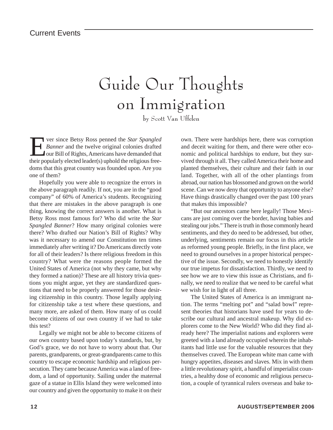### Guide Our Thoughts on Immigration

by Scott Van Uffelen

**Ever since Betsy Ross penned the** *Star Spangled*<br> **Example 1** Banner and the twelve original colonies drafted<br>
our Bill of Rights, Americans have demanded that<br>
their popularly elected leader(s) uphold the religious free *Banner* and the twelve original colonies drafted our Bill of Rights, Americans have demanded that their popularly elected leader(s) uphold the religious freedoms that this great country was founded upon. Are you one of them?

Hopefully you were able to recognize the errors in the above paragraph readily. If not, you are in the "good company" of 60% of America's students. Recognizing that there are mistakes in the above paragraph is one thing, knowing the correct answers is another. What is Betsy Ross most famous for? Who did write the *Star Spangled Banner*? How many original colonies were there? Who drafted our Nation's Bill of Rights? Why was it necessary to amend our Constitution ten times immediately after writing it? Do Americans directly vote for all of their leaders? Is there religious freedom in this country? What were the reasons people formed the United States of America (not why they came, but why they formed a nation)? These are all history trivia questions you might argue, yet they are standardized questions that need to be properly answered for those desiring citizenship in this country. Those legally applying for citizenship take a test where these questions, and many more, are asked of them. How many of us could become citizens of our own country if we had to take this test?

Legally we might not be able to become citizens of our own country based upon today's standards, but, by God's grace, we do not have to worry about that. Our parents, grandparents, or great-grandparents came to this country to escape economic hardship and religious persecution. They came because America was a land of freedom, a land of opportunity. Sailing under the maternal gaze of a statue in Ellis Island they were welcomed into our country and given the opportunity to make it on their

own. There were hardships here, there was corruption and deceit waiting for them, and there were other economic and political hardships to endure, but they survived through it all. They called America their home and planted themselves, their culture and their faith in our land. Together, with all of the other plantings from abroad, our nation has blossomed and grown on the world scene. Can we now deny that opportunity to anyone else? Have things drastically changed over the past 100 years that makes this impossible?

"But our ancestors came here legally! Those Mexicans are just coming over the border, having babies and stealing our jobs." There is truth in those commonly heard sentiments, and they do need to be addressed, but other, underlying, sentiments remain our focus in this article as reformed young people. Briefly, in the first place, we need to ground ourselves in a proper historical perspective of the issue. Secondly, we need to honestly identify our true impetus for dissatisfaction. Thirdly, we need to see how we are to view this issue as Christians, and finally, we need to realize that we need to be careful what we wish for in light of all three.

The United States of America is an immigrant nation. The terms "melting pot" and "salad bowl" represent theories that historians have used for years to describe our cultural and ancestral makeup. Why did explorers come to the New World? Who did they find already here? The imperialist nations and explorers were greeted with a land already occupied wherein the inhabitants had little use for the valuable resources that they themselves craved. The European white man came with hungry appetites, diseases and slaves. Mix in with them a little revolutionary spirit, a handful of imperialist countries, a healthy dose of economic and religious persecution, a couple of tyrannical rulers overseas and bake to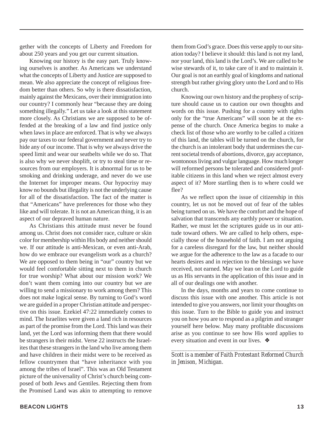gether with the concepts of Liberty and Freedom for about 250 years and you get our current situation.

Knowing our history is the easy part. Truly knowing ourselves is another. As Americans we understand what the concepts of Liberty and Justice are supposed to mean. We also appreciate the concept of religious freedom better than others. So why is there dissatisfaction, mainly against the Mexicans, over their immigration into our country? I commonly hear "because they are doing something illegally." Let us take a look at this statement more closely. As Christians we are supposed to be offended at the breaking of a law and find justice only when laws in place are enforced. That is why we always pay our taxes to our federal government and never try to hide any of our income. That is why we always drive the speed limit and wear our seatbelts while we do so. That is also why we never shoplift, or try to steal time or resources from our employers. It is abnormal for us to be smoking and drinking underage, and never do we use the Internet for improper means. Our hypocrisy may know no bounds but illegality is not the underlying cause for all of the dissatisfaction. The fact of the matter is that "Americans" have preferences for those who they like and will tolerate. It is not an American thing, it is an aspect of our depraved human nature.

As Christians this attitude must never be found among us. Christ does not consider race, culture or skin color for membership within His body and neither should we. If our attitude is anti-Mexican, or even anti-Arab, how do we embrace our evangelism work as a church? We are opposed to them being in "our" country but we would feel comfortable sitting next to them in church for true worship? What about our mission work? We don't want them coming into our country but we are willing to send a missionary to work among them? This does not make logical sense. By turning to God's word we are guided in a proper Christian attitude and perspective on this issue. Ezekiel 47:22 immediately comes to mind. The Israelites were given a land rich in resources as part of the promise from the Lord. This land was their land, yet the Lord was informing them that there would be strangers in their midst. Verse 22 instructs the Israelites that these strangers in the land who live among them and have children in their midst were to be received as fellow countrymen that "have inheritance with you among the tribes of Israel". This was an Old Testament picture of the universality of Christ's church being composed of both Jews and Gentiles. Rejecting them from the Promised Land was akin to attempting to remove

them from God's grace. Does this verse apply to our situation today? I believe it should: this land is not my land, nor your land, this land is the Lord's. We are called to be wise stewards of it, to take care of it and to maintain it. Our goal is not an earthly goal of kingdoms and national strength but rather giving glory unto the Lord and to His church.

Knowing our own history and the prophesy of scripture should cause us to caution our own thoughts and words on this issue. Pushing for a country with rights only for the "true Americans" will soon be at the expense of the church. Once America begins to make a check list of those who are worthy to be called a citizen of this land, the tables will be turned on the church, for the church is an intolerant body that undermines the current societal trends of abortions, divorce, gay acceptance, wontonous living and vulgar language. How much longer will reformed persons be tolerated and considered profitable citizens in this land when we reject almost every aspect of it? More startling then is to where could we flee?

As we reflect upon the issue of citizenship in this country, let us not be moved out of fear of the tables being turned on us. We have the comfort and the hope of salvation that transcends any earthly power or situation. Rather, we must let the scriptures guide us in our attitude toward others. We are called to help others, especially those of the household of faith. I am not arguing for a careless disregard for the law, but neither should we argue for the adherence to the law as a facade to our hearts desires and in rejection to the blessings we have received, not earned. May we lean on the Lord to guide us as His servants in the application of this issue and in all of our dealings one with another.

In the days, months and years to come continue to discuss this issue with one another. This article is not intended to give you answers, nor limit your thoughts on this issue. Turn to the Bible to guide you and instruct you on how you are to respond as a pilgrim and stranger yourself here below. May many profitable discussions arise as you continue to see how His word applies to every situation and event in our lives. ❖

*\_\_\_\_\_\_\_\_\_\_\_\_\_\_\_\_\_\_\_\_\_\_\_\_\_\_\_\_\_\_\_\_\_\_\_\_\_\_\_\_\_\_\_\_\_\_\_\_\_ Scott is a member of Faith Protestant Reformed Church in Jenison, Michigan.*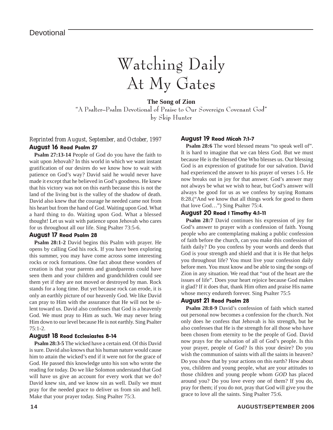### Watching Daily At My Gates

**The Song of Zion** "A Psalter–Psalm Devotional of Praise to Our Sovereign Covenant God" by Skip Hunter

#### *Reprinted from August, September, and October, 1997* August 16 Read Psalm 27

**Psalm 27:13-14** People of God do you have the faith to wait upon Jehovah? In this world in which we want instant gratification of our desires do we know how to wait with patience on God's way? David said he would never have made it except that he believed in God's goodness. He knew that his victory was not on this earth because this is not the land of the living but is the valley of the shadow of death. David also knew that the courage he needed came not from his heart but from the hand of God. Waiting upon God. What a hard thing to do. Waiting upon God. What a blessed thought! Let us wait with patience upon Jehovah who cares for us throughout all our life. Sing Psalter 73:5-6.

#### August 17 Read Psalm 28

**Psalm 28:1-2** David begins this Psalm with prayer. He opens by calling God his rock. If you have been exploring this summer, you may have come across some interesting rocks or rock formations. One fact about these wonders of creation is that your parents and grandparents could have seen them and your children and grandchildren could see them yet if they are not moved or destroyed by man. Rock stands for a long time. But yet because rock can erode, it is only an earthly picture of our heavenly God. We like David can pray to Him with the assurance that He will not be silent toward us. David also confesses that God is a heavenly God. We must pray to Him as such. We may never bring Him down to our level because He is not earthly. Sing Psalter 75:1-2.

#### August 18 Read Ecclesiastes 8-14

**Psalm 28:3-5** The wicked have a certain end. Of this David is sure. David also knows that his human nature would cause him to attain the wicked's end if it were not for the grace of God. He passed this knowledge unto his son who wrote the reading for today. Do we like Solomon understand that God will have us give an account for every work that we do? David knew sin, and we know sin as well. Daily we must pray for the needed grace to deliver us from sin and hell. Make that your prayer today. Sing Psalter 75:3.

#### August 19 Read Micah 7:1-7

Psalm 28:6 The word blessed means "to speak well of". It is hard to imagine that we can bless God. But we must because He is the blessed One Who blesses us. Our blessing God is an expression of gratitude for our salvation. David had experienced the answer to his prayer of verses 1-5. He now breaks out in joy for that answer. God's answer may not always be what we wish to hear, but God's answer will always be good for us as we confess by saying Romans 8:28.("And we know that all things work for good to them that love God…") Sing Psalter 75:4.

#### August 20 Read I Timothy 4:1-11

**Psalm 28:7** David continues his expression of joy for God's answer to prayer with a confession of faith. Young people who are contemplating making a public confession of faith before the church, can you make this confession of faith daily? Do you confess by your words and deeds that God is your strength and shield and that it is He that helps you throughout life? You must live your confession daily before men. You must know and be able to sing the songs of Zion in any situation. We read that "out of the heart are the issues of life". Does your heart rejoice because God makes it glad? If it does that, thank Him often and praise His name whose mercy endureth forever. Sing Psalter 75:5

#### August 21 Read Psalm 28

**Psalm 28:8-9** David's confession of faith which started out personal now becomes a confession for the church. Not only does he confess that Jehovah is his strength, but he also confesses that He is the strength for all those who have been chosen from eternity to be the people of God. David now prays for the salvation of all of God's people. Is this your prayer, people of God? Is this your desire? Do you wish the communion of saints with all the saints in heaven? Do you show that by your actions on this earth? How about you, children and young people, what are your attitudes to those children and young people whom *GOD* has placed around you? Do you love every one of them? If you do, pray for them; if you do not, pray that God will give you the grace to love all the saints. Sing Psalter 75:6.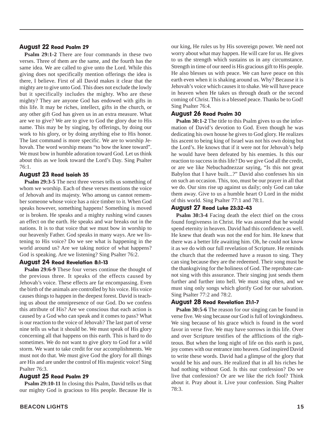#### August 22 Read Psalm 29

**Psalm 29:1-2** There are four commands in these two verses. Three of them are the same, and the fourth has the same idea. We are called to give unto the Lord. While this giving does not specifically mention offerings the idea is there, I believe. First of all David makes it clear that the mighty are to give unto God. This does not exclude the lowly but it specifically includes the mighty. Who are these mighty? They are anyone God has endowed with gifts in this life. It may be riches, intellect, gifts in the church, or any other gift God has given us in an extra measure. What are we to give? We are to give to God the glory due to His name. This may be by singing, by offerings, by doing our work to his glory, or by doing anything else to His honor. The last command is more specific. We are to worship Jehovah. The word worship means "to bow the knee toward". We must bow in humble adoration toward God. Let us think about this as we look toward the Lord's Day. Sing Psalter 76:1.

#### August 23 Read Isaiah 35

**Psalm 29:3-5** The next three verses tells us something of whom we worship. Each of these verses mentions the voice of Jehovah and its majesty. Who among us cannot remember someone whose voice has a nice timber to it. When God speaks however, something happens! Something is moved or is broken. He speaks and a mighty rushing wind causes an effect on the earth. He speaks and war breaks out in the nations. It is to that voice that we must bow in worship to our heavenly Father. God speaks in many ways. Are we listening to His voice? Do we see what is happening in the world around us? Are we taking notice of what happens? God is speaking. Are we listening? Sing Psalter 76:2.

#### August 24 Read Revelation 8:1-13

**Psalm 29:6-9** These four verses continue the thought of the previous three. It speaks of the effects caused by Jehovah's voice. These effects are far encompassing. Even the birth of the animals are controlled by his voice. His voice causes things to happen in the deepest forest. David is teaching us about the omnipresence of our God. Do we confess this attribute of His? Are we conscious that each action is caused by a God who can speak and it comes to pass? What is our reaction to the voice of Jehovah? The last part of verse nine tells us what it should be. We must speak of His glory concerning all that happens on this earth. This is hard to do sometimes. We do not want to give glory to God for a wild storm. We want to take credit for our accomplishments. We must not do that. We must give God the glory for all things are His and are under the control of His majestic voice! Sing Psalter 76:3.

#### August 25 Read Psalm 29

**Psalm 29:10-11** In closing this Psalm, David tells us that our mighty God is gracious to His people. Because He is our king, He rules us by His sovereign power. We need not worry about what may happen. He will care for us. He gives to us the strength which sustains us in any circumstance. Strength in time of our need is His gracious gift to His people. He also blesses us with peace. We can have peace on this earth even when it is shaking around us. Why? Because it is Jehovah's voice which causes it to shake. We will have peace in heaven when He takes us through death or the second coming of Christ. This is a blessed peace. Thanks be to God! Sing Psalter 76:4.

#### August 26 Read Psalm 30

**Psalm 30:1-2** The title to this Psalm gives to us the information of David's devotion to God. Even though he was dedicating his own house he gives to God glory. He realizes his ascent to being king of Israel was not his own doing but the Lord's. He knows that if it were not for Jehovah's help he would have been defeated by his enemies. Is this our reaction to success in this life? Do we give God all the credit, or are we like Nebuchadnezzar saying, "Is this not great Babylon that I have built...?" David also confesses his sin on such an occasion. This, too, must be our prayer in all that we do. Our sins rise up against us daily; only God can take them away. Give to us a humble heart O Lord in the midst of this world. Sing Psalter 77:1 and 78:1.

#### August 27 Read Luke 23:32-43

**Psalm 30:3-4** Facing death the elect thief on the cross found forgiveness in Christ. He was assured that he would spend eternity in heaven. David had this confidence as well. He knew that death was not the end for him. He knew that there was a better life awaiting him. Oh, he could not know it as we do with our full revelation of Scripture. He reminds the church that the redeemed have a reason to sing. They can sing because they are the redeemed. Their song must be the thanksgiving for the holiness of God. The reprobate cannot sing with this assurance. Their singing just sends them further and further into hell. We must sing often, and we must sing only songs which glorify God for our salvation. Sing Psalter 77:2 and 78:2.

#### August 28 Read Revelation 21:1-7

**Psalm 30:5-6** The reason for our singing can be found in verse five. We sing because our God is full of lovingkindness. We sing because of his grace which is found in the word favor in verse five. We may have sorrows in this life. Over and over Scripture testifies of the afflictions of the righteous. But when the long night of life on this earth is past, joy comes with our entrance into heaven. God inspired David to write these words. David had a glimpse of the glory that would be his and ours. He realized that in all his riches he had nothing without God. Is this our confession? Do we live that confession? Or are we like the rich fool? Think about it. Pray about it. Live your confession. Sing Psalter 78:3.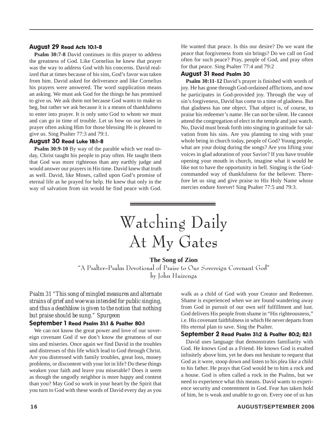#### August 29 Read Acts 10:1-8

**Psalm 30:7-8** David continues in this prayer to address the greatness of God. Like Cornelius he knew that prayer was the way to address God with his concerns. David realized that at times because of his sins, God's favor was taken from him. David asked for deliverance and like Cornelius his prayers were answered. The word supplication means an asking. We must ask God for the things he has promised to give us. We ask them not because God wants to make us beg, but rather we ask because it is a means of thankfulness to enter into prayer. It is only unto God to whom we must and can go in time of trouble. Let us bow on our knees in prayer often asking Him for those blessing He is pleased to give us. Sing Psalter 77:3 and 79:1.

#### August 30 Read Luke 18:1-8

**Psalm 30:9-10** By way of the parable which we read today, Christ taught his people to pray often. He taught them that God was more righteous than any earthly judge and would answer our prayers in His time. David knew that truth as well. David, like Moses, called upon God's promise of eternal life as he prayed for help. He knew that only in the way of salvation from sin would he find peace with God.

He wanted that peace. Is this our desire? Do we want the peace that forgiveness from sin brings? Do we call on God often for such peace? Pray, people of God, and pray often for that peace. Sing Psalter 77:4 and 79:2

#### August 31 Read Psalm 30

**Psalm 30:11-12** David's prayer is finished with words of joy. He has gone through God-ordained afflictions, and now he participates in God-provided joy. Through the way of sin's forgiveness, David has come to a time of gladness. But that gladness has one object. That object is, of course, to praise his redeemer's name. He can not be silent. He cannot attend the congregation of elect in the temple and just watch. No, David must break forth into singing in gratitude for salvation from his sins. Are you planning to sing with your whole being in church today, people of God? Young people, what are your doing during the songs? Are you lifting your voices in glad adoration of your Savior? If you have trouble opening your mouth in church, imagine what it would be like not to have the opportunity in hell. Singing is the Godcommanded way of thankfulness for the believer. Therefore let us sing and give praise to His Holy Name whose mercies endure forever! Sing Psalter 77:5 and 79:3.

# Watching Daily At My Gates

#### **The Song of Zion**

"A Psalter–Psalm Devotional of Praise to Our Sovereign Covenant God" by John Huizenga

*Psalm 31 "This song of mingled measures and alternate strains of grief and woe was intended for public singing, and thus a deathblow is given to the notion that nothing but praise should be sung." Spurgeon*

#### September 1 Read Psalm 31:1 & Psalter 80:1

We can not know the great power and love of our sovereign covenant God if we don't know the greatness of our sins and miseries. Once again we find David in the troubles and distresses of this life which lead to God through Christ. Are you distressed with family troubles, great loss, money problems, or discontent with your lot in life? Do these things weaken your faith and leave you miserable? Does it seem as though the ungodly neighbor is more happy and content than you? May God so work in your heart by the Spirit that you turn to God with these words of David every day as you

walk as a child of God with your Creator and Redeemer. Shame is experienced when we are found wandering away from God in pursuit of our own self fulfillment and lust. God delivers His people from shame in "His righteousness," i.e. His covenant faithfulness in which He never departs from His eternal plan to save. Sing the Psalter.

#### September 2 Read Psalm 31:2 & Psalter 80:2; 82:1

David uses language that demonstrates familiarity with God. He knows God as a Friend. He knows God is exalted infinitely above him, yet he does not hesitate to request that God as it were, stoop down and listen to his plea like a child to his father. He prays that God would be to him a rock and a house. God is often called a rock in the Psalms, but we need to experience what this means. David wants to experience security and contentment in God. Fear has taken hold of him, he is weak and unable to go on. Every one of us has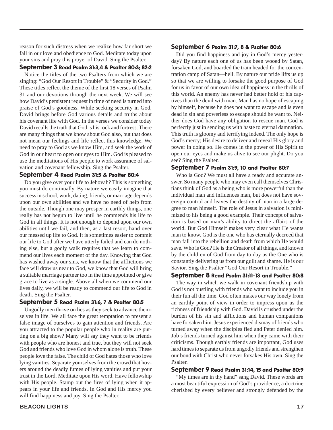reason for such distress when we realize how far short we fall in our love and obedience to God. Meditate today upon your sins and pray this prayer of David. Sing the Psalter.

#### September 3 Read Psalm 31:3,4 & Psalter 80:3; 82:2

Notice the titles of the two Psalters from which we are singing: "God Our Resort in Trouble" & "Security in God." These titles reflect the theme of the first 18 verses of Psalm 31 and our devotions through the next week. We will see how David's persistent request in time of need is turned into praise of God's goodness. While seeking security in God, David brings before God various details and truths about his covenant life with God. In the verses we consider today David recalls the truth that God is his rock and fortress. There are many things that we know about God also, but that does not mean our feelings and life reflect this knowledge. We need to pray to God as we know Him, and seek the work of God in our heart to open our eyes to Him. God is pleased to use the meditations of His people to work assurance of salvation and covenant fellowship. Sing the Psalter.

#### September 4 Read Psalm 31:5 & Psalter 80:4

Do you give over your life to Jehovah? This is something you must do continually. By nature we easily imagine that success in school, work, dating, friends, or marriage depends upon our own abilities and we have no need of help from the outside. Though one may prosper in earthly things, one really has not begun to live until he commends his life to God in all things. It is not enough to depend upon our own abilities until we fail, and then, as a last resort, hand over our messed up life to God. It is sometimes easier to commit our life to God after we have utterly failed and can do nothing else, but a godly walk requires that we learn to commend our lives each moment of the day. Knowing that God has washed away our sins, we know that the afflictions we face will draw us near to God, we know that God will bring a suitable marriage partner too in the time appointed or give grace to live as a single. Above all when we commend our lives daily, we will be ready to commend our life to God in death. Sing the Psalter.

#### September 5 Read Psalm 31:6, 7 & Psalter 80:5

Ungodly men thrive on lies as they seek to advance themselves in life. We all face the great temptation to present a false image of ourselves to gain attention and friends. Are you attracted to the popular people who in reality are putting on a big show? Many will say they want to be friends with people who are honest and true, but they will not seek God and friends who love God in whom alone is truth. These people love the false. The child of God hates those who love lying vanities. Separate yourselves from the crowd that hovers around the deadly fumes of lying vanities and put your trust in the Lord. Meditate upon His word. Have fellowship with His people. Stamp out the fires of lying when it appears in your life and friends. In God and His mercy you will find happiness and joy. Sing the Psalter.

#### September 6 Psalm 31:7, 8 & Psalter 80:6

Did you find happiness and joy in God's mercy yesterday? By nature each one of us has been wooed by Satan, forsaken God, and boarded the train headed for the concentration camp of Satan—hell. By nature our pride lifts us up so that we are willing to forsake the good purpose of God for us in favor of our own idea of happiness in the thrills of this world. An enemy has never had better hold of his captives than the devil with man. Man has no hope of escaping by himself, because he does not want to escape and is even dead in sin and powerless to escape should he want to. Neither does God have any obligation to rescue man. God is perfectly just in sending us with haste to eternal damnation. This truth is gloomy and terrifying indeed. The only hope is God's mercy; His desire to deliver and reveal His glory and power in doing so. He comes in the power of His Spirit to open our eyes and make us alive to see our plight. Do you see? Sing the Psalter.

#### September 7 Psalm 31:9, 10 and Psalter 80:7

Who is God? We must all have a ready and accurate answer. So many people who may even call themselves Christians think of God as a being who is more powerful than the individual man and influences man, but does not have sovereign control and leaves the destiny of man in a large degree to man himself. The role of Jesus in salvation is minimized to his being a good example. Their concept of salvation is based on man's ability to direct the affairs of the world. But God Himself makes very clear what He wants man to know. God is the one who has eternally decreed that man fall into the rebellion and death from which He would save. Who is God? He is the Creator of all things, and known by the children of God from day to day as the One who is constantly delivering us from our guilt and shame. He is our Savior. Sing the Psalter "God Our Resort in Trouble."

#### September 8 Read Psalm 31:11-13 and Psalter 80:8

The way in which we walk in covenant friendship with God is not bustling with friends who want to include you in their fun all the time. God often makes our way lonely from an earthly point of view in order to impress upon us the richness of friendship with God. David is crushed under the burden of his sin and afflictions and human companions have forsaken him. Jesus experienced dismay of friends who turned away when the disciples fled and Peter denied him. Job's friends turned against him when they came with their criticisms. Though earthly friends are important, God uses hard times to separate us from ungodly friends and strengthen our bond with Christ who never forsakes His own. Sing the Psalter.

#### September 9 Read Psalm 31:14, 15 and Psalter 80:9

"My times are in thy hand" sang David. These words are a most beautiful expression of God's providence, a doctrine cherished by every believer and strongly defended by the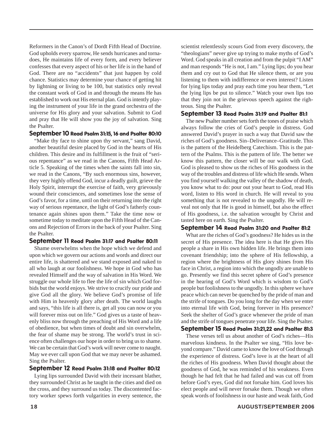Reformers in the Canon's of Dordt Fifth Head of Doctrine. God upholds every sparrow, He sends hurricanes and tornadoes, He maintains life of every form, and every believer confesses that every aspect of his or her life is in the hand of God. There are no "accidents" that just happen by cold chance. Statistics may determine your chance of getting hit by lightning or living to be 100, but statistics only reveal the constant work of God in and through the means He has established to work out His eternal plan. God is intently playing the instrument of your life in the grand orchestra of the universe for His glory and your salvation. Submit to God and pray that He will show you the joy of salvation. Sing the Psalter.

#### September 10 Read Psalm 31:15, 16 and Psalter 80:10

"Make thy face to shine upon thy servant," sang David, another beautiful desire placed by God in the hearts of His children. This desire and its fulfillment is the fruit of "serious repentance" as we read in the Canons, Fifth Head Article 5. Speaking of the times when the saints fall into sin, we read in the Canons, "By such enormous sins, however, they very highly offend God, incur a deadly guilt, grieve the Holy Spirit, interrupt the exercise of faith, very grievously wound their consciences, and sometimes lose the sense of God's favor, for a time, until on their returning into the right way of serious repentance, the light of God's fatherly countenance again shines upon them." Take the time now or sometime today to meditate upon the Fifth Head of the Canons and Rejection of Errors in the back of your Psalter. Sing the Psalter.

#### September 11 Read Psalm 31:17 and Psalter 80:11

Shame overwhelms when the hope which we defend and upon which we govern our actions and words and direct our entire life, is shattered and we stand exposed and naked to all who laugh at our foolishness. We hope in God who has revealed Himself and the way of salvation in His Word. We struggle our whole life to flee the life of sin which God forbids but the world enjoys. We strive to crucify our pride and give God all the glory. We believe God's promise of life with Him in heavenly glory after death. The world laughs and says, "this life is all there is, get all you can now or you will forever miss out on life." God gives us a taste of heavenly bliss now through the preaching of His Word and a life of obedience, but when times of doubt and sin overwhelm, the fear of shame may be strong. The world's trust in science often challenges our hope in order to bring us to shame. We can be certain that God's work will never come to naught. May we ever call upon God that we may never be ashamed. Sing the Psalter.

#### September 12 Read Psalm 31:18 and Psalter 80:12

Lying lips surrounded David with their incessant blather, they surrounded Christ as he taught in the cities and died on the cross, and they surround us today. The discontented factory worker spews forth vulgarities in every sentence, the scientist relentlessly scours God from every discovery, the "theologians" never give up trying to make myths of God's Word. God speaks in all creation and from the pulpit "I AM" and man responds "He is not, I am." Lying lips; do you hear them and cry out to God that He silence them, or are you listening to them with indifference or even interest? Listen for lying lips today and pray each time you hear them, "Let the lying lips be put to silence." Watch your own lips too that they join not in the grievous speech against the righteous. Sing the Psalter.

#### September 13 Read Psalm 31:19 and Psalter 81:1

The new Psalter number sets forth the tones of praise which always follow the cries of God's people in distress. God answered David's prayer in such a way that David saw the riches of God's goodness. Sin–Deliverance–Gratitude. This is the pattern of the Heidelberg Catechism. This is the pattern of the Psalms. This is the pattern of life. The better we know this pattern, the closer will be our walk with God. God is pleased to show us the riches of His goodness in the way of the troubles and distress of life which He sends. When you find yourself walking the valley of the shadow of death, you know what to do: pour out your heart to God, read His word, listen to His word in church. He will reveal to you something that is not revealed to the ungodly. He will reveal not only that He is good in himself, but also the effect of His goodness, i.e. the salvation wrought by Christ and tasted here on earth. Sing the Psalter.

#### September 14 Read Psalm 31:20 and Psalter 81:2

What are the riches of God's goodness? He hides us in the secret of His presence. The idea here is that He gives His people a share in His own hidden life. He brings them into covenant friendship; into the sphere of His fellowship, a region where the brightness of His glory shines from His face in Christ, a region into which the ungodly are unable to go. Presently we find this secret sphere of God's presence in the hearing of God's Word which is wisdom to God's people but foolishness to the ungodly. In this sphere we have peace which can never be quenched by the pride of man and the strife of tongues. Do you long for the day when we enter into eternal life with God, being forever in His presence? Seek the shelter of God's grace whenever the pride of man and the strife of tongues penetrate your life. Sing the Psalter.

September 15 Read Psalm 31:21,22 and Psalter 81:3

These verses tell us about another of God's riches—His marvelous kindness. In the Psalter we sing, "His love beyond compare." David came to know the love of God through the experience of distress. God's love is at the heart of all the riches of His goodness. When David thought about the goodness of God, he was reminded of his weakness. Even though he had felt that he had failed and was cut off from before God's eyes, God did not forsake him. God loves his elect people and will never forsake them. Though we often speak words of foolishness in our haste and weak faith, God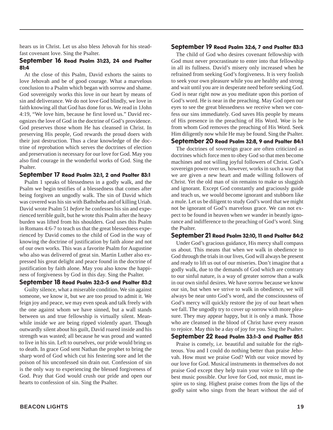hears us in Christ. Let us also bless Jehovah for his steadfast covenant love. Sing the Psalter.

#### September 16 Read Psalm 31:23, 24 and Psalter 81:4

At the close of this Psalm, David exhorts the saints to love Jehovah and be of good courage. What a marvelous conclusion to a Psalm which began with sorrow and shame. God sovereignly works this love in our heart by means of sin and deliverance. We do not love God blindly, we love in faith knowing all that God has done for us. We read in 1John 4:19, "We love him, because he first loved us." David recognizes the love of God in the doctrine of God's providence. God preserves those whom He has cleansed in Christ. In preserving His people, God rewards the proud doers with their just destruction. Thus a clear knowledge of the doctrine of reprobation which serves the doctrines of election and preservation is necessary for our love for God. May you also find courage in the wonderful works of God. Sing the Psalter.

#### September 17 Read Psalm 32:1, 2 and Psalter 83:1

Psalm 1 speaks of blessedness in a godly walk, and the Psalm we begin testifies of a blessedness that comes after being forgiven an ungodly walk. The sin of David which was covered was his sin with Bathsheba and of killing Uriah. David wrote Psalm 51 *before* he confesses his sin and experienced terrible guilt, but he wrote this Psalm after the heavy burden was lifted from his shoulders. God uses this Psalm in Romans 4:6-7 to teach us that the great blessedness experienced by David comes to the child of God in the way of knowing the doctrine of justification by faith alone and not of our own works. This was a favorite Psalm for Augustine who also was delivered of great sin. Martin Luther also expressed his great delight and peace found in the doctrine of justification by faith alone. May you also know the happiness of forgiveness by God in this day. Sing the Psalter.

#### September 18 Read Psalm 32:3-5 and Psalter 83:2

Guilty silence, what a miserable condition. We sin against someone, we know it, but we are too proud to admit it. We feign joy and peace, we may even speak and talk freely with the one against whom we have sinned, but a wall stands between us and true fellowship is virtually silent. Meanwhile inside we are being ripped violently apart. Though outwardly silent about his guilt, David roared inside and his strength was wasted; all because he was proud and wanted to live in his sin. Left to ourselves, our pride would bring us to death. In grace God sent Nathan the prophet to bring the sharp word of God which cut his festering sore and let the poison of his unconfessed sin drain out. Confession of sin is the only way to experiencing the blessed forgiveness of God. Pray that God would crush our pride and open our hearts to confession of sin. Sing the Psalter.

#### September 19 Read Psalm 32:6, 7 and Psalter 83:3

The child of God who desires covenant fellowship with God must never procrastinate to enter into that fellowship in all its fullness. David's misery only increased when he refrained from seeking God's forgiveness. It is very foolish to seek your own pleasure while you are healthy and strong and wait until you are in desperate need before seeking God. God is near right now as you meditate upon this portion of God's word. He is near in the preaching. May God open our eyes to see the great blessedness we receive when we confess our sins immediately. God saves His people by means of His presence in the preaching of His Word. Woe is he from whom God removes the preaching of His Word. Seek Him diligently now while He may be found. Sing the Psalter.

#### September 20 Read Psalm 32:8, 9 and Psalter 84:1

The doctrines of sovereign grace are often criticized as doctrines which force men to obey God so that men become machines and not willing joyful followers of Christ. God's sovereign power over us, however, works in such a way that we are given a new heart and made willing followers of Christ. Yet the old man of sin remains to make us sluggish and ignorant. Except God constantly and graciously guide and teach us, we would become ignorant and stubborn like a mule. Let us be diligent to study God's word that we might not be ignorant of God's marvelous grace. We can not expect to be found in heaven when we wander in beastly ignorance and indifference to the preaching of God's word. Sing the Psalter.

#### September 21 Read Psalm 32:10, 11 and Psalter 84:2

Under God's gracious guidance, His mercy shall compass us about. This means that when we walk in obedience to God through the trials in our lives, God will always be present and ready to lift us out of our miseries. Don't imagine that a godly walk, due to the demands of God which are contrary to our sinful nature, is a way of greater sorrow than a walk in our own sinful desires. We have sorrow because we know our sin, but when we strive to walk in obedience, we will always be near unto God's word, and the consciousness of God's mercy will quickly restore the joy of our heart when we fall. The ungodly try to cover up sorrow with more pleasure. They may appear happy, but it is only a mask. Those who are cleansed in the blood of Christ have every reason to rejoice. May this be a day of joy for you. Sing the Psalter.

#### September 22 Read Psalm 33:1-3 and Psalter 85:1

Praise is comely, i.e. beautiful and suitable for the righteous. You and I could do nothing better than praise Jehovah. How must we praise God? With our voice moved by our love for God. Musical instruments in themselves do not praise God except they help train your voice to lift up the best music possible. Our love for God, not music, must inspire us to sing. Highest praise comes from the lips of the godly saint who sings from the heart without the aid of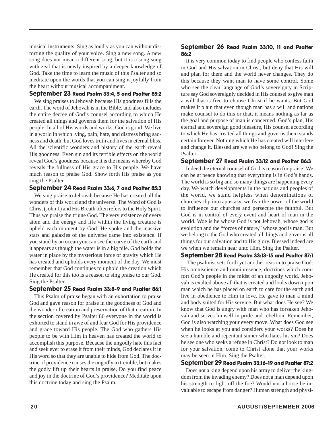musical instruments. Sing as loudly as you can without distorting the quality of your voice. Sing a new song. A new song does not mean a different song, but it is a song sung with zeal that is newly inspired by a deeper knowledge of God. Take the time to learn the music of this Psalter and so meditate upon the words that you can sing it joyfully from the heart without musical accompaniment.

#### September 23 Read Psalm 33:4, 5 and Psalter 85:2

We sing praises to Jehovah because His goodness fills the earth. The word of Jehovah is in the Bible, and also includes the entire decree of God's counsel according to which He created all things and governs them for the salvation of His people. In all of His words and works, God is good. We live in a world in which lying, pain, hate, and distress bring sadness and death, but God loves truth and lives in eternal bliss. All the scientific wonders and history of the earth reveal His goodness. Even sin and its terrible effects on the world reveal God's goodness because it is the means whereby God reveals the fullness of His grace to His people. We have much reason to praise God. Show forth His praise as you sing the Psalter.

#### September 24 Read Psalm 33:6, 7 and Psalter 85:3

We sing praise to Jehovah because He has created all the wonders of this world and the universe. The Word of God is Christ (John 1) and His Breath often refers to the Holy Spirit. Thus we praise the triune God. The very existence of every atom and the energy and life within the living creature is upheld each moment by God. He spoke and the massive stars and galaxies of the universe came into existence. If you stand by an ocean you can see the curve of the earth and it appears as though the water is in a big pile. God holds the water in place by the mysterious force of gravity which He has created and upholds every moment of the day. We must remember that God continues to uphold the creation which He created for this too is a reason to sing praise to our God. Sing the Psalter.

#### September 25 Read Psalm 33:8-9 and Psalter 86:1

This Psalm of praise began with an exhortation to praise God and gave reason for praise in the goodness of God and the wonder of creation and preservation of that creation. In the section covered by Psalter 86 everyone in the world is exhorted to stand in awe of and fear God for His providence and grace toward His people. The God who gathers His people to be with Him in heaven has created the world to accomplish this purpose. Because the ungodly hate this fact and seek ever to erase it from their minds, God declares it in His word so that they are unable to hide from God. The doctrine of providence causes the ungodly to tremble, but makes the godly lift up their hearts in praise. Do you find peace and joy in the doctrine of God's providence? Meditate upon this doctrine today and sing the Psalm.

#### September 26 Read Psalm 33:10, 11 and Psalter 86:2

It is very common today to find people who confess faith in God and His salvation in Christ, but deny that His will and plan for them and the world never changes. They do this because they want man to have some control. Some who see the clear language of God's sovereignty in Scripture say God sovereignly decided in His counsel to give man a will that is free to choose Christ if he wants. But God makes it plain that even though man has a will and nations make counsel to do this or that, it means nothing as far as the goal and purpose of man is concerned. God's plan, His eternal and sovereign good pleasure, His counsel according to which He has created all things and governs them stands certain forever. Nothing which He has created will interfere and change it. Blessed are we who belong to God! Sing the Psalter.

#### September 27 Read Psalm 33:12 and Psalter 86:3

Indeed the eternal counsel of God is reason for praise! We can be at peace knowing that everything is in God's hands. The world is so big and so many things are happening every day. We watch developments in the nations and peoples of the world, we stand helpless when denominations of churches slip into apostasy, we fear the power of the world to influence our churches and persecute the faithful. But God is in control of every event and heart of man in the world. Woe is he whose God is not Jehovah, whose god is evolution and the "forces of nature," whose god is man. But we belong to the God who created all things and governs all things for our salvation and to His glory. Blessed indeed are we when we remain near unto Him. Sing the Psalter.

#### September 28 Read Psalm 33:13-15 and Psalter 87:1

 The psalmist sets forth yet another reason to praise God: His omniscience and omnipresence, doctrines which comfort God's people in the midst of an ungodly world. Jehovah is exalted above all that is created and looks down upon man which he has placed on earth to care for the earth and live in obedience to Him in love. He gave to man a mind and body suited for His service. But what does He see? We know that God is angry with man who has forsaken Jehovah and serves himself in pride and rebellion. Remember, God is also watching your every move. What does God see when he looks at you and considers your works? Does he see a humble and repentant sinner who hates his sin? Does he see one who seeks a refuge in Christ? Do not look to man for your salvation, come to Christ alone that your works may be seen in Him. Sing the Psalter.

#### September 29 Read Psalm 33:16-19 and Psalter 87:2

Does not a king depend upon his army to deliver the kingdom from the invading enemy? Does not a man depend upon his strength to fight off the foe? Would not a horse be invaluable to escape from danger? Human strength and physi-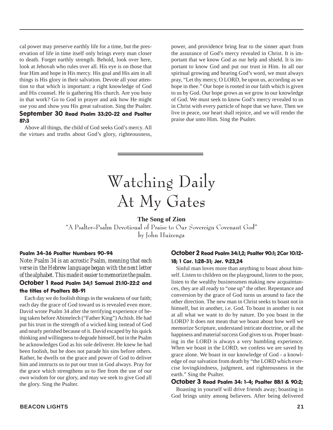cal power may preserve earthly life for a time, but the preservation of life in time itself only brings every man closer to death. Forget earthly strength. Behold, look over here, look at Jehovah who rules over all. His eye is on those that fear Him and hope in His mercy. His goal and His aim in all things is His glory in their salvation. Devote all your attention to that which is important: a right knowledge of God and His counsel. He is gathering His church. Are you busy in that work? Go to God in prayer and ask how He might use you and show you His great salvation. Sing the Psalter. September 30 Read Psalm 33:20-22 and Psalter 87:3

Above all things, the child of God seeks God's mercy. All the virtues and truths about God's glory, righteousness, power, and providence bring fear to the sinner apart from the assurance of God's mercy revealed in Christ. It is important that we know God as our help and shield. It is important to know God and put our trust in Him. In all our spiritual growing and hearing God's word, we must always pray, "Let thy mercy, O LORD, be upon us, according as we hope in thee." Our hope is rooted in our faith which is given to us by God. Our hope grows as we grow in our knowledge of God. We must seek to know God's mercy revealed to us in Christ with every particle of hope that we have. Then we live in peace, our heart shall rejoice, and we will render the praise due unto Him. Sing the Psalter.

### Watching Daily At My Gates

#### **The Song of Zion**

"A Psalter–Psalm Devotional of Praise to Our Sovereign Covenant God" by John Huizenga

#### Psalm 34-36 Psalter Numbers 90-94

*Note: Psalm 34 is an acrostic Psalm, meaning that each verse in the Hebrew language began with the next letter of the alphabet. This made it easier to memorize the psalm.* October 1 Read Psalm 34;1 Samuel 21:10-22:2 and the titles of Psalters 88-91

Each day we do foolish things in the weakness of our faith; each day the grace of God toward us is revealed even more. David wrote Psalm 34 after the terrifying experience of being taken before Abimelech ("Father King") Achish. He had put his trust in the strength of a wicked king instead of God and nearly perished because of it. David escaped by his quick thinking and willingness to degrade himself, but in the Psalm he acknowledges God as his sole deliverer. He knew he had been foolish, but he does not parade his sins before others. Rather, he dwells on the grace and power of God to deliver him and instructs us to put our trust in God always. Pray for the grace which strengthens us to flee from the use of our own wisdom for our glory, and may we seek to give God all the glory. Sing the Psalter.

#### October 2 Read Psalm 34:1,2; Psalter 90:1; 2Cor 10:12- 18; 1 Cor. 1:28-31; Jer. 9:23,24

Sinful man loves more than anything to boast about himself. Listen to children on the playground, listen to the poor, listen to the wealthy businessmen making new acquaintances, they are all ready to "one up" the other. Repentance and conversion by the grace of God turns us around to face the other direction. The new man in Christ seeks to boast not in himself, but in another, i.e. God. To boast in another is not at all what we want to do by nature. Do you boast in the LORD? It does not mean that we boast about how well we memorize Scripture, understand intricate doctrine, or all the happiness and material success God gives to us. Proper boasting in the LORD is always a very humbling experience. When we boast in the LORD, we confess we are saved by grace alone. We boast in our knowledge of God - a knowledge of our salvation from death by "the LORD which exercise lovingkindness, judgment, and righteousness in the earth." Sing the Psalter.

#### October 3 Read Psalm 34: 1-4; Psalter 88:1 & 90:2;

Boasting in yourself will drive friends away; boasting in God brings unity among believers. After being delivered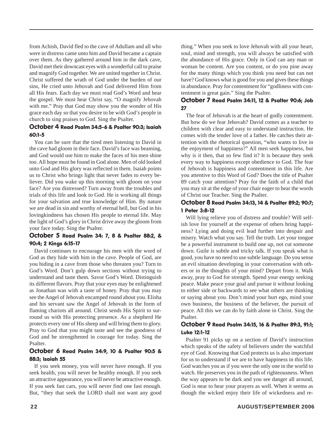from Achish, David fled to the cave of Adullam and all who were in distress came unto him and David became a captain over them. As they gathered around him in the dark cave, David met their downcast eyes with a wonderful call to praise and magnify God together. We are united together in Christ. Christ suffered the wrath of God under the burden of our sins, He cried unto Jehovah and God delivered Him from all His fears. Each day we must read God's Word and hear the gospel. We must hear Christ say, "O magnify Jehovah with me." Pray that God may show you the wonder of His grace each day so that you desire to be with God's people in church to sing praises to God. Sing the Psalter.

#### October 4 Read Psalm 34:5-6 & Psalter 90:3; Isaiah 60:1-5

You can be sure that the tired men listening to David in the cave had gloom in their face. David's face was beaming, and God would use him to make the faces of his men shine too. All hope must be found in God alone. Men of old looked unto God and His glory was reflected in them. Isaiah points us to Christ who brings light that never fades to every believer. Did you wake up this morning with gloom on your face? Are you distressed? Turn away from the troubles and trials of this life and look to God. He is working all things for your salvation and true knowledge of Him. By nature we are dead in sin and worthy of eternal hell, but God in his lovingkindness has chosen His people to eternal life. May the light of God's glory in Christ drive away the gloom from your face today. Sing the Psalter.

#### October 5 Read Psalm 34: 7, 8 & Psalter 88:2, & 90:4; 2 Kings 6:15-17

David continues to encourage his men with the word of God as they hide with him in the cave. People of God, are you hiding in a cave from those who threaten you? Turn to God's Word. Don't gulp down sections without trying to understand and taste them. Savor God's Word. Distinguish its different flavors. Pray that your eyes may be enlightened as Jonathan was with a taste of honey. Pray that you may see the Angel of Jehovah encamped round about you. Elisha and his servant saw the Angel of Jehovah in the form of flaming chariots all around. Christ sends His Spirit to surround us with His protecting presence. As a shepherd He protects every one of His sheep and will bring them to glory. Pray to God that you might taste and see the goodness of God and be strengthened in courage for today. Sing the Psalter.

#### October 6 Read Psalm 34:9, 10 & Psalter 90:5 & 88:3; Isaiah 55

If you seek money, you will never have enough. If you seek health, you will never be healthy enough. If you seek an attractive appearance, you will never be attractive enough. If you seek fast cars, you will never find one fast enough. But, "they that seek the LORD shall not want any good

thing." When you seek to love Jehovah with all your heart, soul, mind and strength, you will always be satisfied with the abundance of His grace. Only in God can any man or woman be content. Are you content, or do you pine away for the many things which you think you need but can not have? God knows what is good for you and gives these things in abundance. Pray for contentment for "godliness with contentment is great gain." Sing the Psalter.

#### October 7 Read Psalm 34:11, 12 & Psalter 90:6; Job 27

The fear of Jehovah is at the heart of godly contentment. But how do we fear Jehovah? David comes as a teacher to children with clear and easy to understand instruction. He comes with the tender love of a father. He catches their attention with the rhetorical question, "who wants to live in the enjoyment of happiness?" All men seek happiness, but why is it then, that so few find it? It is because they seek every way to happiness except obedience to God. The fear of Jehovah is happiness and contentment in this life. Are you attentive to this Word of God? Does the title of Psalter 89 catch your attention? Pray for the faith of a child that you may sit at the edge of your chair eager to hear the words of Christ our Teacher. Sing the Psalter.

#### October 8 Read Psalm 34:13, 14 & Psalter 89:2; 90:7; 1 Peter 3:8-12

Will lying relieve you of distress and trouble? Will selfish love for yourself at the expense of others bring happiness? Lying and doing evil lead further into despair and misery. Watch what you say. Tell the truth. Let your tongue be a powerful instrument to build one up, not cut someone down. Guile is subtle and tricky talk. If you speak what is good, you have no need to use subtle language. Do you sense an evil situation developing in your conversation with others or in the thoughts of your mind? Depart from it. Walk away, pray to God for strength. Spend your energy seeking peace. Make peace your goal and pursue it without looking to either side or backwards to see what others are thinking or saying about you. Don't mind your hurt ego, mind your own business, the business of the believer, the pursuit of peace. All this we can do by faith alone in Christ. Sing the Psalter.

#### October 9 Read Psalm 34:15, 16 & Psalter 89:3, 91:1; Luke 12:1-12

Psalter 91 picks up on a section of David's instruction which speaks of the safety of believers under the watchful eye of God. Knowing that God protects us is also important for us to understand if we are to have happiness in this life. God watches you as if you were the only one in the world to watch. He preserves you in the path of righteousness. When the way appears to be dark and you see danger all around, God is near to hear your prayers as well. When it seems as though the wicked enjoy their life of wickedness and re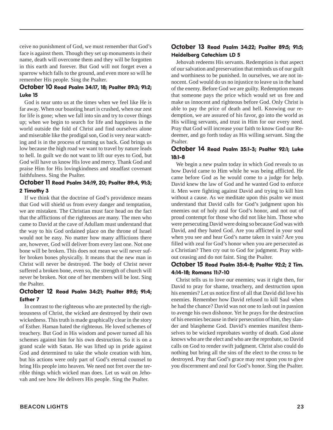ceive no punishment of God, we must remember that God's face is against them. Though they set up monuments in their name, death will overcome them and they will be forgotten in this earth and forever. But God will not forget even a sparrow which falls to the ground, and even more so will he remember His people. Sing the Psalter.

#### October 10 Read Psalm 34:17, 18; Psalter 89:3; 91:2; Luke 15

God is near unto us at the times when we feel like He is far away. When our boasting heart is crushed, when our zest for life is gone; when we fall into sin and try to cover things up; when we begin to search for life and happiness in the world outside the fold of Christ and find ourselves alone and miserable like the prodigal son, God is very near watching and is in the process of turning us back. God brings us low because the high road we want to travel by nature leads to hell. In guilt we do not want to lift our eyes to God, but God will have us know His love and mercy. Thank God and praise Him for His lovingkindness and steadfast covenant faithfulness. Sing the Psalter.

#### October 11 Read Psalm 34:19, 20; Psalter 89:4, 91:3; 2 Timothy 3

If we think that the doctrine of God's providence means that God will shield us from every danger and temptation, we are mistaken. The Christian must face head on the fact that the afflictions of the righteous are many. The men who came to David at the cave of Adullam must understand that the way to his God ordained place on the throne of Israel would not be easy. No matter how many afflictions there are, however, God will deliver from every last one. Not one bone will be broken. This does not mean we will never suffer broken bones physically. It means that the new man in Christ will never be destroyed. The body of Christ never suffered a broken bone, even so, the strength of church will never be broken. Not one of her members will be lost. Sing the Psalter.

#### October 12 Read Psalm 34:21; Psalter 89:5; 91:4; Esther 7

In contrast to the righteous who are protected by the righteousness of Christ, the wicked are destroyed by their own wickedness. This truth is made graphically clear in the story of Esther. Haman hated the righteous. He loved schemes of treachery. But God in His wisdom and power turned all his schemes against him for his own destruction. So it is on a grand scale with Satan. He was lifted up in pride against God and determined to take the whole creation with him, but his actions were only part of God's eternal counsel to bring His people into heaven. We need not fret over the terrible things which wicked man does. Let us wait on Jehovah and see how He delivers His people. Sing the Psalter.

#### October 13 Read Psalm 34:22; Psalter 89:5; 91:5; Heidelberg Catechism LD 5

Jehovah redeems His servants. Redemption is that aspect of our salvation and preservation that reminds us of our guilt and worthiness to be punished. In ourselves, we are not innocent. God would do us no injustice to leave us in the hand of the enemy. Before God we are guilty. Redemption means that someone pays the price which would set us free and make us innocent and righteous before God. Only Christ is able to pay the price of death and hell. Knowing our redemption, we are assured of his favor, go into the world as His willing servants, and trust in Him for our every need. Pray that God will increase your faith to know God our Redeemer, and go forth today as His willing servant. Sing the Psalter.

#### October 14 Read Psalm 35:1-3; Psalter 92:1; Luke 18:1-8

We begin a new psalm today in which God reveals to us how David came to Him while he was being afflicted. He came before God as he would come to a judge for help. David knew the law of God and he wanted God to enforce it. Men were fighting against David and trying to kill him without a cause. As we meditate upon this psalm we must understand that David calls for God's judgment upon his enemies out of holy zeal for God's honor, and not out of proud contempt for those who did not like him. Those who were persecuting David were doing so because God was with David, and they hated God. Are you afflicted in your soul when you see and hear God's name taken in vain? Are you filled with zeal for God's honor when you are persecuted as a Christian? Then cry out to God for judgment. Pray without ceasing and do not faint. Sing the Psalter.

#### October 15 Read Psalm 35:4-8; Psalter 92:2; 2 Tim. 4:14-18; Romans 11:7-10

Christ tells us to love our enemies; was it right then, for David to pray for shame, treachery, and destruction upon his enemies? Let us notice first of all that David did love his enemies. Remember how David refused to kill Saul when he had the chance? David was not one to lash out in passion to avenge his own dishonor. Yet he prays for the destruction of his enemies because in their persecution of him, they slander and blaspheme God. David's enemies manifest themselves to be wicked reprobates worthy of death. God alone knows who are the elect and who are the reprobate, so David calls on God to render swift judgment. Christ also could do nothing but bring all the sins of the elect to the cross to be destroyed. Pray that God's grace may rest upon you to give you discernment and zeal for God's honor. Sing the Psalter.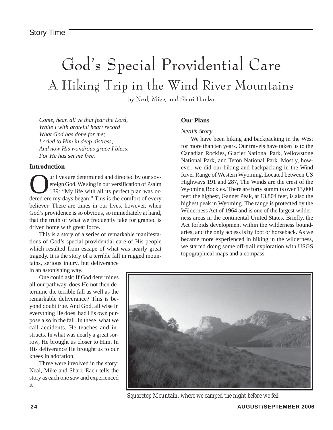### God's Special Providential Care A Hiking Trip in the Wind River Mountains

by Neal, Mike, and Shari Hanko

*Come, hear, all ye that fear the Lord, While I with grateful heart record What God has done for me; I cried to Him in deep distress, And now His wondrous grace I bless, For He has set me free.*

#### **Introduction**

**Our lives are determined and directed by our sov-**<br>ereign God. We sing in our versification of Psalm<br>139: "My life with all its perfect plan was or-<br>dered ere my days began." This is the comfort of every ereign God. We sing in our versification of Psalm 139: "My life with all its perfect plan was ordered ere my days began." This is the comfort of every believer. There are times in our lives, however, when God's providence is so obvious, so immediately at hand, that the truth of what we frequently take for granted is driven home with great force.

This is a story of a series of remarkable manifestations of God's special providential care of His people which resulted from escape of what was nearly great tragedy. It is the story of a terrible fall in rugged mountains, serious injury, but deliverance

in an astonishing way.

One could ask: If God determines all our pathway, does He not then determine the terrible fall as well as the remarkable deliverance? This is beyond doubt true. And God, all wise in everything He does, had His own purpose also in the fall. In these, what we call accidents, He teaches and instructs. In what was nearly a great sorrow, He brought us closer to Him. In His deliverance He brought us to our knees in adoration.

Three were involved in the story: Neal, Mike and Shari. Each tells the story as each one saw and experienced it

#### **Our Plans**

#### *Neal's Story*

We have been hiking and backpacking in the West for more than ten years. Our travels have taken us to the Canadian Rockies, Glacier National Park, Yellowstone National Park, and Teton National Park. Mostly, however, we did our hiking and backpacking in the Wind River Range of Western Wyoming. Located between US Highways 191 and 287, The Winds are the crest of the Wyoming Rockies. There are forty summits over 13,000 feet; the highest, Gannet Peak, at 13,804 feet, is also the highest peak in Wyoming. The range is protected by the Wilderness Act of 1964 and is one of the largest wilderness areas in the continental United States. Briefly, the Act forbids development within the wilderness boundaries, and the only access is by foot or horseback. As we became more experienced in hiking in the wilderness, we started doing some off-trail exploration with USGS topographical maps and a compass.



*Squaretop Mountain, where we camped the night before we fell*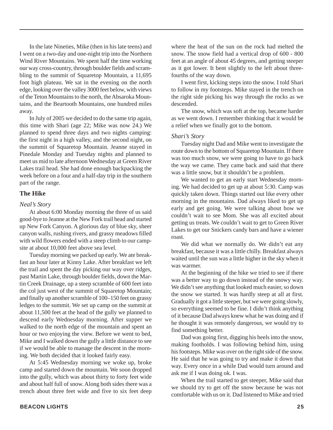In the late Nineties, Mike (then in his late teens) and I went on a two-day and one-night trip into the Northern Wind River Mountains. We spent half the time working our way cross-country, through boulder fields and scrambling to the summit of Squaretop Mountain, a 11,695 foot high plateau. We sat in the evening on the north edge, looking over the valley 3000 feet below, with views of the Teton Mountains to the north, the Absaroka Mountains, and the Beartooth Mountains, one hundred miles away.

In July of 2005 we decided to do the same trip again, this time with Shari (age 22; Mike was now 24.) We planned to spend three days and two nights camping: the first night in a high valley, and the second night, on the summit of Squaretop Mountain. Jeanne stayed in Pinedale Monday and Tuesday nights and planned to meet us mid to late afternoon Wednesday at Green River Lakes trail head. She had done enough backpacking the week before on a four and a half-day trip in the southern part of the range.

#### **The Hike**

#### *Neal's Story*

At about 6:00 Monday morning the three of us said good-bye to Jeanne at the New Fork trail head and started up New Fork Canyon. A glorious day of blue sky, sheer canyon walls, rushing rivers, and grassy meadows filled with wild flowers ended with a steep climb to our campsite at about 10,000 feet above sea level.

Tuesday morning we packed up early. We ate breakfast an hour later at Kinny Lake. After breakfast we left the trail and spent the day picking our way over ridges, past Martin Lake, through boulder fields, down the Martin Creek Drainage, up a steep scramble of 600 feet into the col just west of the summit of Squaretop Mountain; and finally up another scramble of 100–150 feet on grassy ledges to the summit. We set up camp on the summit at about 11,500 feet at the head of the gully we planned to descend early Wednesday morning. After supper we walked to the north edge of the mountain and spent an hour or two enjoying the view. Before we went to bed, Mike and I walked down the gully a little distance to see if we would be able to manage the descent in the morning. We both decided that it looked fairly easy.

At 5:45 Wednesday morning we woke up, broke camp and started down the mountain. We soon dropped into the gully, which was about thirty to forty feet wide and about half full of snow. Along both sides there was a trench about three feet wide and five to six feet deep

I went first, kicking steps into the snow. I told Shari to follow in my footsteps. Mike stayed in the trench on the right side picking his way through the rocks as we descended.

The snow, which was soft at the top, became harder as we went down. I remember thinking that it would be a relief when we finally got to the bottom.

#### *Shari's Story*

Tuesday night Dad and Mike went to investigate the route down to the bottom of Squaretop Mountain. If there was too much snow, we were going to have to go back the way we came. They came back and said that there was a little snow, but it shouldn't be a problem.

We wanted to get an early start Wednesday morning. We had decided to get up at about 5:30. Camp was quickly taken down. Things started out like every other morning in the mountains. Dad always liked to get up early and get going. We were talking about how we couldn't wait to see Mom. She was all excited about getting us treats. We couldn't wait to get to Green River Lakes to get our Snickers candy bars and have a wiener roast.

We did what we normally do. We didn't eat any breakfast, because it was a little chilly. Breakfast always waited until the sun was a little higher in the sky when it was warmer.

At the beginning of the hike we tried to see if there was a better way to go down instead of the snowy way. We didn't see anything that looked much easier, so down the snow we started. It was hardly steep at all at first. Gradually it got a little steeper, but we were going slowly, so everything seemed to be fine. I didn't think anything of it because Dad always knew what he was doing and if he thought it was remotely dangerous, we would try to find something better.

Dad was going first, digging his heels into the snow, making footholds. I was following behind him, using his footsteps. Mike was over on the right side of the snow. He said that he was going to try and make it down that way. Every once in a while Dad would turn around and ask me if I was doing ok. I was.

When the trail started to get steeper, Mike said that we should try to get off the snow because he was not comfortable with us on it. Dad listened to Mike and tried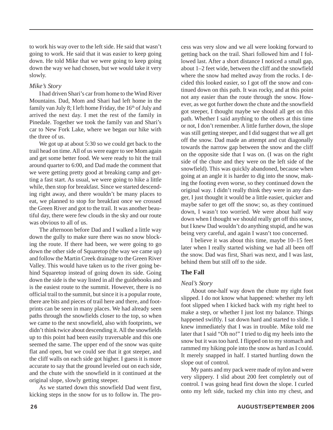to work his way over to the left side. He said that wasn't going to work. He said that it was easier to keep going down. He told Mike that we were going to keep going down the way we had chosen, but we would take it very slowly.

#### *Mike's Story*

I had driven Shari's car from home to the Wind River Mountains. Dad, Mom and Shari had left home in the family van July 8; I left home Friday, the  $16<sup>th</sup>$  of July and arrived the next day. I met the rest of the family in Pinedale. Together we took the family van and Shari's car to New Fork Lake*,* where we began our hike with the three of us.

We got up at about 5:30 so we could get back to the trail head on time. All of us were eager to see Mom again and get some better food. We were ready to hit the trail around quarter to 6:00, and Dad made the comment that we were getting pretty good at breaking camp and getting a fast start. As usual, we were going to hike a little while, then stop for breakfast. Since we started descending right away, and there wouldn't be many places to eat, we planned to stop for breakfast once we crossed the Green River and got to the trail. It was another beautiful day, there were few clouds in the sky and our route was obvious to all of us.

The afternoon before Dad and I walked a little way down the gully to make sure there was no snow blocking the route. If there had been, we were going to go down the other side of Squaretop (the way we came up) and follow the Martin Creek drainage to the Green River Valley. This would have taken us to the river going behind Squaretop instead of going down its side. Going down the side is the way listed in all the guidebooks and is the easiest route to the summit. However, there is no official trail to the summit, but since it is a popular route, there are bits and pieces of trail here and there, and footprints can be seen in many places. We had already seen paths through the snowfields closer to the top, so when we came to the next snowfield, also with footprints, we didn't think twice about descending it. All the snowfields up to this point had been easily traversable and this one seemed the same. The upper end of the snow was quite flat and open, but we could see that it got steeper, and the cliff walls on each side got higher. I guess it is more accurate to say that the ground leveled out on each side, and the chute with the snowfield in it continued at the original slope, slowly getting steeper.

As we started down this snowfield Dad went first, kicking steps in the snow for us to follow in. The process was very slow and we all were looking forward to getting back on the trail. Shari followed him and I followed last. After a short distance I noticed a small gap, about 1–2 feet wide, between the cliff and the snowfield where the snow had melted away from the rocks. I decided this looked easier, so I got off the snow and continued down on this path. It was rocky, and at this point not any easier than the route through the snow. However, as we got further down the chute and the snowfield got steeper, I thought maybe we should all get on this path. Whether I said anything to the others at this time or not, I don't remember. A little further down, the slope was still getting steeper, and I did suggest that we all get off the snow. Dad made an attempt and cut diagonally towards the narrow gap between the snow and the cliff on the opposite side that I was on. (I was on the right side of the chute and they were on the left side of the snowfield). This was quickly abandoned, because when going at an angle it is harder to dig into the snow, making the footing even worse, so they continued down the original way. I didn't really think they were in any danger, I just thought it would be a little easier, quicker and maybe safer to get off the snow; so, as they continued down, I wasn't too worried. We were about half way down when I thought we should really get off this snow, but I knew Dad wouldn't do anything stupid, and he was being very careful, and again I wasn't too concerned.

I believe it was about this time, maybe 10–15 feet later when I really started wishing we had all been off the snow. Dad was first, Shari was next, and I was last, behind them but still off to the side.

#### **The Fall**

#### *Neal's Story*

About one-half way down the chute my right foot slipped. I do not know what happened: whether my left foot slipped when I kicked back with my right heel to make a step, or whether I just lost my balance. Things happened swiftly. I sat down hard and started to slide. I knew immediately that I was in trouble. Mike told me later that I said "Oh no!" I tried to dig my heels into the snow but it was too hard. I flipped on to my stomach and rammed my hiking pole into the snow as hard as I could. It merely snapped in half. I started hurtling down the slope out of control.

My pants and my pack were made of nylon and were very slippery. I slid about 200 feet completely out of control. I was going head first down the slope. I curled onto my left side, tucked my chin into my chest, and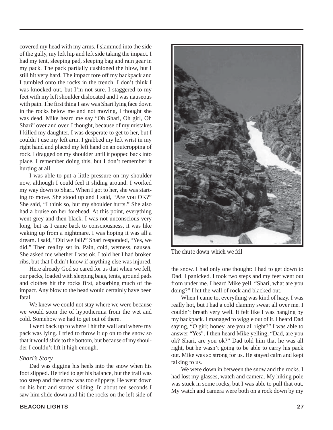covered my head with my arms. I slammed into the side of the gully, my left hip and left side taking the impact. I had my tent, sleeping pad, sleeping bag and rain gear in my pack. The pack partially cushioned the blow, but I still hit very hard. The impact tore off my backpack and I tumbled onto the rocks in the trench. I don't think I was knocked out, but I'm not sure. I staggered to my feet with my left shoulder dislocated and I was nauseous with pain. The first thing I saw was Shari lying face down in the rocks below me and not moving, I thought she was dead. Mike heard me say "Oh Shari, Oh girl, Oh Shari" over and over. I thought, because of my mistakes I killed my daughter. I was desperate to get to her, but I couldn't use my left arm. I grabbed my left wrist in my right hand and placed my left hand on an outcropping of rock. I dragged on my shoulder until it popped back into place. I remember doing this, but I don't remember it hurting at all.

I was able to put a little pressure on my shoulder now, although I could feel it sliding around. I worked my way down to Shari. When I got to her, she was starting to move. She stood up and I said, "Are you OK?" She said, "I think so, but my shoulder hurts." She also had a bruise on her forehead. At this point, everything went grey and then black. I was not unconscious very long, but as I came back to consciousness, it was like waking up from a nightmare. I was hoping it was all a dream. I said, "Did we fall?" Shari responded, "Yes, we did." Then reality set in. Pain, cold, wetness, nausea. She asked me whether I was ok. I told her I had broken ribs, but that I didn't know if anything else was injured.

Here already God so cared for us that when we fell, our packs, loaded with sleeping bags, tents, ground pads and clothes hit the rocks first, absorbing much of the impact. Any blow to the head would certainly have been fatal.

We knew we could not stay where we were because we would soon die of hypothermia from the wet and cold. Somehow we had to get out of there.

I went back up to where I hit the wall and where my pack was lying. I tried to throw it up on to the snow so that it would slide to the bottom, but because of my shoulder I couldn't lift it high enough.

#### *Shari's Story*

Dad was digging his heels into the snow when his foot slipped. He tried to get his balance, but the trail was too steep and the snow was too slippery. He went down on his butt and started sliding. In about ten seconds I saw him slide down and hit the rocks on the left side of



*The chute down which we fell*

the snow. I had only one thought: I had to get down to Dad. I panicked. I took two steps and my feet went out from under me. I heard Mike yell, "Shari, what are you doing?" I hit the wall of rock and blacked out.

When I came to, everything was kind of hazy. I was really hot, but I had a cold clammy sweat all over me. I couldn't breath very well. It felt like I was hanging by my backpack. I managed to wiggle out of it. I heard Dad saying, "O girl; honey, are you all right?" I was able to answer "Yes". I then heard Mike yelling, "Dad, are you ok? Shari, are you ok?" Dad told him that he was all right, but he wasn't going to be able to carry his pack out. Mike was so strong for us. He stayed calm and kept talking to us.

We were down in between the snow and the rocks. I had lost my glasses, watch and camera. My hiking pole was stuck in some rocks, but I was able to pull that out. My watch and camera were both on a rock down by my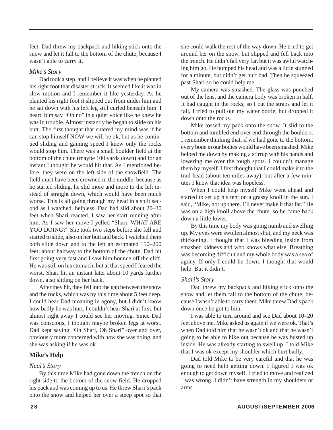feet. Dad threw my backpack and hiking stick onto the snow and let it fall to the bottom of the chute, because I wasn't able to carry it.

#### *Mike's Story*

Dad took a step, and I believe it was when he planted his right foot that disaster struck. It seemed like it was in slow motion and I remember it like yesterday. As he planted his right foot it slipped out from under him and he sat down with his left leg still curled beneath him. I heard him say "Oh no" in a quiet voice like he knew he was in trouble. Almost instantly he began to slide on his butt. The first thought that entered my mind was if he can stop himself NOW we will be ok, but as he continued sliding and gaining speed I knew only the rocks would stop him. There was a small boulder field at the bottom of the chute (maybe 100 yards down) and for an instant I thought he would hit that. As I mentioned before, they were on the left side of the snowfield. The field must have been crowned in the middle, because as he started sliding, he slid more and more to the left instead of straight down, which would have been much worse. This is all going through my head in a split second as I watched, helpless. Dad had slid about 20–30 feet when Shari reacted. I saw her start running after him. As I saw her move I yelled "Shari, WHAT ARE YOU DOING?" She took two steps before she fell and started to slide, also on her butt and back. I watched them both slide down and to the left an estimated 150–200 feet; about halfway to the bottom of the chute. Dad hit first going very fast and I saw him bounce off the cliff. He was still on his stomach, but at that speed I feared the worst. Shari hit an instant later about 10 yards further down, also sliding on her back.

After they hit, they fell into the gap between the snow and the rocks, which was by this time about 5 feet deep. I could hear Dad moaning in agony, but I didn't know how badly he was hurt. I couldn't hear Shari at first, but almost right away I could see her moving. Since Dad was conscious, I thought maybe broken legs at worst. Dad kept saying "Oh Shari, Oh Shari" over and over, obviously more concerned with how she was doing, and she was asking if he was ok.

#### **Mike's Help**

#### *Neal's Story*

By this time Mike had gone down the trench on the right side to the bottom of the snow field. He dropped his pack and was coming up to us. He threw Shari's pack onto the snow and helped her over a steep spot so that she could walk the rest of the way down. He tried to get around her on the snow, but slipped and fell back into the trench. He didn't fall very far, but it was awful watching him go. He bumped his head and was a little stunned for a minute, but didn't get hurt bad. Then he squeezed past Shari so he could help me.

My camera was smashed. The glass was punched out of the lens, and the camera body was broken in half. It had caught in the rocks, so I cut the straps and let it fall, I tried to pull out my water bottle, but dropped it down onto the rocks.

Mike tossed my pack onto the snow. It slid to the bottom and tumbled end over end through the boulders. I remember thinking that, if we had gone to the bottom, every bone in our bodies would have been smashed. Mike helped me down by making a stirrup with his hands and lowering me over the tough spots. I couldn't manage them by myself. I first thought that I could make it to the trail head (about ten miles away), but after a few minutes I knew that idea was hopeless.

When I could help myself Mike went ahead and started to set up his tent on a grassy knoll in the sun. I said, "Mike, not up there. I'll never make it that far." He was on a high knoll above the chute, so he came back down a little lower.

By this time my body was going numb and swelling up. My eyes were swollen almost shut, and my neck was thickening. I thought that I was bleeding inside from smashed kidneys and who knows what else. Breathing was becoming difficult and my whole body was a sea of agony. If only I could lie down. I thought that would help. But it didn't.

#### *Shari's Story*

Dad threw my backpack and hiking stick onto the snow and let them fall to the bottom of the chute, because I wasn't able to carry them. Mike threw Dad's pack down once he got to him.

I was able to turn around and see Dad about 10–20 feet above me. Mike asked us again if we were ok. That's when Dad told him that he wasn't ok and that he wasn't going to be able to hike out because he was busted up inside. He was already starting to swell up. I told Mike that I was ok except my shoulder which hurt badly.

Dad told Mike to be very careful and that he was going to need help getting down. I figured I was ok enough to get down myself. I tried to move and realized I was wrong. I didn't have strength in my shoulders or arms.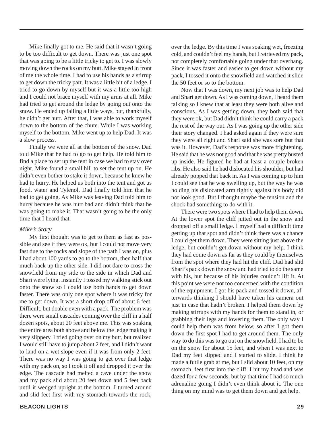Mike finally got to me. He said that it wasn't going to be too difficult to get down. There was just one spot that was going to be a little tricky to get to. I was slowly moving down the rocks on my butt. Mike stayed in front of me the whole time. I had to use his hands as a stirrup to get down the tricky part. It was a little bit of a ledge. I tried to go down by myself but it was a little too high and I could not brace myself with my arms at all. Mike had tried to get around the ledge by going out onto the snow. He ended up falling a little ways, but, thankfully, he didn't get hurt. After that, I was able to work myself down to the bottom of the chute. While I was working myself to the bottom, Mike went up to help Dad. It was a slow process.

Finally we were all at the bottom of the snow. Dad told Mike that he had to go to get help. He told him to find a place to set up the tent in case we had to stay over night. Mike found a small hill to set the tent up on. He didn't even bother to stake it down, because he knew he had to hurry. He helped us both into the tent and got us food, water and Tylenol. Dad finally told him that he had to get going. As Mike was leaving Dad told him to hurry because he was hurt bad and didn't think that he was going to make it. That wasn't going to be the only time that I heard that.

#### *Mike's Story*

My first thought was to get to them as fast as possible and see if they were ok, but I could not move very fast due to the rocks and slope of the path I was on, plus I had about 100 yards to go to the bottom, then half that much back up the other side. I did not dare to cross the snowfield from my side to the side in which Dad and Shari were lying. Instantly I tossed my walking stick out onto the snow so I could use both hands to get down faster. There was only one spot where it was tricky for me to get down. It was a short drop off of about 6 feet. Difficult, but doable even with a pack. The problem was there were small cascades coming over the cliff in a half dozen spots, about 20 feet above me. This was soaking the entire area both above and below the ledge making it very slippery. I tried going over on my butt, but realized I would still have to jump about 2 feet, and I didn't want to land on a wet slope even if it was from only 2 feet. There was no way I was going to get over that ledge with my pack on, so I took it off and dropped it over the edge. The cascade had melted a cave under the snow and my pack slid about 20 feet down and 5 feet back until it wedged upright at the bottom. I turned around and slid feet first with my stomach towards the rock,

cold, and couldn't feel my hands, but I retrieved my pack, not completely comfortable going under that overhang. Since it was faster and easier to get down without my pack, I tossed it onto the snowfield and watched it slide the 50 feet or so to the bottom. Now that I was down, my next job was to help Dad

over the ledge. By this time I was soaking wet, freezing

and Shari get down. As I was coming down, I heard them talking so I knew that at least they were both alive and conscious. As I was getting down, they both said that they were ok, but Dad didn't think he could carry a pack the rest of the way out. As I was going up the other side their story changed. I had asked again if they were sure they were all right and Shari said she was sore but that was it. However, Dad's response was more frightening. He said that he was not good and that he was pretty busted up inside. He figured he had at least a couple broken ribs. He also said he had dislocated his shoulder, but had already popped that back in. As I was coming up to him I could see that he was swelling up, but the way he was holding his dislocated arm tightly against his body did not look good. But I thought maybe the tension and the shock had something to do with it.

There were two spots where I had to help them down. At the lower spot the cliff jutted out in the snow and dropped off a small ledge. I myself had a difficult time getting up that spot and didn't think there was a chance I could get them down. They were sitting just above the ledge, but couldn't get down without my help. I think they had come down as far as they could by themselves from the spot where they had hit the cliff. Dad had slid Shari's pack down the snow and had tried to do the same with his, but because of his injuries couldn't lift it. At this point we were not too concerned with the condition of the equipment. I got his pack and tossed it down, afterwards thinking I should have taken his camera out just in case that hadn't broken. I helped them down by making stirrups with my hands for them to stand in, or grabbing their legs and lowering them. The only way I could help them was from below, so after I got them down the first spot I had to get around them. The only way to do this was to go out on the snowfield. I had to be on the snow for about 15 feet, and when I was next to Dad my feet slipped and I started to slide. I think he made a futile grab at me, but I slid about 10 feet, on my stomach, feet first into the cliff. I hit my head and was dazed for a few seconds, but by that time I had so much adrenaline going I didn't even think about it. The one thing on my mind was to get them down and get help.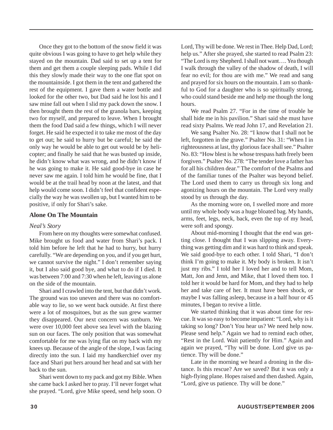Once they got to the bottom of the snow field it was quite obvious I was going to have to get help while they stayed on the mountain. Dad said to set up a tent for them and get them a couple sleeping pads. While I did this they slowly made their way to the one flat spot on the mountainside. I got them in the tent and gathered the rest of the equipment. I gave them a water bottle and looked for the other two, but Dad said he lost his and I saw mine fall out when I slid my pack down the snow. I then brought them the rest of the granola bars, keeping two for myself, and prepared to leave. When I brought them the food Dad said a few things, which I will never forget. He said he expected it to take me most of the day to get out; he said to hurry but be careful; he said the only way he would be able to get out would be by helicopter; and finally he said that he was busted up inside, he didn't know what was wrong, and he didn't know if he was going to make it. He said good-bye in case he never saw me again. I told him he would be fine, that I would be at the trail head by noon at the latest, and that help would come soon. I didn't feel that confident especially the way he was swollen up, but I wanted him to be positive, if only for Shari's sake.

#### **Alone On The Mountain**

#### *Neal's Story*

From here on my thoughts were somewhat confused. Mike brought us food and water from Shari's pack. I told him before he left that he had to hurry, but hurry carefully. "We are depending on you, and if you get hurt, we cannot survive the night." I don't remember saying it, but I also said good bye, and what to do if I died. It was between 7:00 and 7:30 when he left, leaving us alone on the side of the mountain.

Shari and I crawled into the tent, but that didn't work. The ground was too uneven and there was no comfortable way to lie, so we went back outside. At first there were a lot of mosquitoes, but as the sun grew warmer they disappeared. Our next concern was sunburn. We were over 10,000 feet above sea level with the blazing sun on our faces. The only position that was somewhat comfortable for me was lying flat on my back with my knees up. Because of the angle of the slope, I was facing directly into the sun. I laid my handkerchief over my face and Shari put hers around her head and sat with her back to the sun.

Shari went down to my pack and got my Bible. When she came back I asked her to pray. I'll never forget what she prayed. "Lord, give Mike speed, send help soon. O

Lord, Thy will be done. We rest in Thee. Help Dad, Lord; help us." After she prayed, she started to read Psalm 23: "The Lord is my Shepherd. I shall not want…. Yea though I walk through the valley of the shadow of death, I will fear no evil; for thou are with me." We read and sang and prayed for six hours on the mountain. I am so thankful to God for a daughter who is so spiritually strong, who could stand beside me and help me though the long hours.

We read Psalm 27. "For in the time of trouble he shall hide me in his pavilion." Shari said she must have read sixty Psalms. We read John 17, and Revelation 21.

We sang Psalter No. 28: "I know that I shall not be left, forgotten in the grave." Psalter No. 31: "When I in righteousness at last, thy glorious face shall see." Psalter No. 83: "How blest is he whose trespass hath freely been forgiven." Psalter No. 278: "The tender love a father has for all his children dear." The comfort of the Psalms and of the familiar tunes of the Psalter was beyond belief. The Lord used them to carry us through six long and agonizing hours on the mountain. The Lord very really stood by us through the day.

As the morning wore on, I swelled more and more until my whole body was a huge bloated bag. My hands, arms, feet, legs, neck, back, even the top of my head, were soft and spongy.

About mid-morning I thought that the end was getting close. I thought that I was slipping away. Everything was getting dim and it was hard to think and speak. We said good-bye to each other. I told Shari, "I don't think I'm going to make it. My body is broken. It isn't just my ribs." I told her I loved her and to tell Mom, Matt, Jon and Jenn, and Mike, that I loved them too. I told her it would be hard for Mom, and they had to help her and take care of her. It must have been shock, or maybe I was falling asleep, because in a half hour or 45 minutes, I began to revive a little.

We started thinking that it was about time for rescue. It was so easy to become impatient: "Lord, why is it taking so long? Don't You hear us? We need help now. Please send help." Again we had to remind each other, "Rest in the Lord. Wait patiently for Him." Again and again we prayed, "Thy will be done. Lord give us patience. Thy will be done."

Late in the morning we heard a droning in the distance. Is this rescue? Are we saved? But it was only a high-flying plane. Hopes raised and then dashed. Again, "Lord, give us patience. Thy will be done."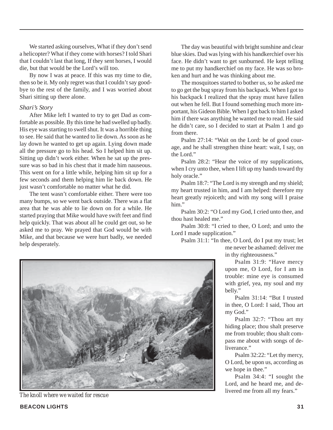We started asking ourselves, What if they don't send a helicopter? What if they come with horses? I told Shari that I couldn't last that long, If they sent horses, I would die, but that would be the Lord's will too.

By now I was at peace. If this was my time to die, then so be it. My only regret was that I couldn't say goodbye to the rest of the family, and I was worried about Shari sitting up there alone.

#### *Shari's Story*

After Mike left I wanted to try to get Dad as comfortable as possible. By this time he had swelled up badly. His eye was starting to swell shut. It was a horrible thing to see. He said that he wanted to lie down. As soon as he lay down he wanted to get up again. Lying down made all the pressure go to his head. So I helped him sit up. Sitting up didn't work either. When he sat up the pressure was so bad in his chest that it made him nauseous. This went on for a little while, helping him sit up for a few seconds and them helping him lie back down. He just wasn't comfortable no matter what he did.

The tent wasn't comfortable either. There were too many bumps, so we went back outside. There was a flat area that he was able to lie down on for a while. He started praying that Mike would have swift feet and find help quickly. That was about all he could get out, so he asked me to pray. We prayed that God would be with Mike, and that because we were hurt badly, we needed help desperately.

The day was beautiful with bright sunshine and clear blue skies. Dad was lying with his handkerchief over his face. He didn't want to get sunburned. He kept telling me to put my handkerchief on my face. He was so broken and hurt and he was thinking about me.

The mosquitoes started to bother us, so he asked me to go get the bug spray from his backpack. When I got to his backpack I realized that the spray must have fallen out when he fell. But I found something much more important, his Gideon Bible. When I got back to him I asked him if there was anything he wanted me to read. He said he didn't care, so I decided to start at Psalm 1 and go from there.

Psalm 27:14: "Wait on the Lord: be of good courage, and he shall strengthen thine heart: wait, I say, on the Lord."

Psalm 28:2: "Hear the voice of my supplications, when I cry unto thee, when I lift up my hands toward thy holy oracle."

Psalm 18:7: "The Lord is my strength and my shield; my heart trusted in him, and I am helped: therefore my heart greatly rejoiceth; and with my song will I praise him."

Psalm 30:2: "O Lord my God, I cried unto thee, and thou hast healed me."

Psalm 30:8: "I cried to thee, O Lord; and unto the Lord I made supplication."

Psalm 31:1: "In thee, O Lord, do I put my trust; let me never be ashamed: deliver me in thy righteousness."

> Psalm 31:9: "Have mercy upon me, O Lord, for I am in trouble: mine eye is consumed with grief, yea, my soul and my belly."

> Psalm 31:14: "But I trusted in thee, O Lord: I said, Thou art my God."

> Psalm 32:7: "Thou art my hiding place; thou shalt preserve me from trouble; thou shalt compass me about with songs of deliverance."

> Psalm 32:22: "Let thy mercy, O Lord, be upon us, according as we hope in thee."

> Psalm 34:4: "I sought the Lord, and he heard me, and de-

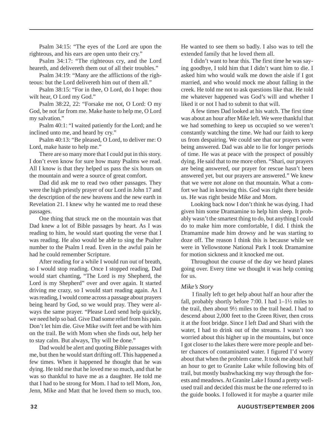Psalm 34:15: "The eyes of the Lord are upon the righteous, and his ears are open unto their cry."

Psalm 34:17: "The righteous cry, and the Lord heareth, and delivereth them out of all their troubles."

Psalm 34:19: "Many are the afflictions of the righteous: but the Lord delivereth him out of them all."

Psalm 38:15: "For in thee, O Lord, do I hope: thou wilt hear, O Lord my God."

Psalm 38:22, 22: "Forsake me not, O Lord: O my God, be not far from me. Make haste to help me, O Lord my salvation."

Psalm 40:1: "I waited patiently for the Lord; and he inclined unto me, and heard by cry."

Psalm 40:13: "Be pleased, O Lord, to deliver me: O Lord, make haste to help me."

There are so many more that I could put in this story. I don't even know for sure how many Psalms we read. All I know is that they helped us pass the six hours on the mountain and were a source of great comfort.

Dad did ask me to read two other passages. They were the high priestly prayer of our Lord in John 17 and the description of the new heavens and the new earth in Revelation 21. I knew why he wanted me to read these passages.

One thing that struck me on the mountain was that Dad knew a lot of Bible passages by heart. As I was reading to him, he would start quoting the verse that I was reading. He also would be able to sing the Psalter number to the Psalm I read. Even in the awful pain he had he could remember Scripture.

After reading for a while I would run out of breath, so I would stop reading. Once I stopped reading, Dad would start chanting, "The Lord is my Shepherd, the Lord is my Shepherd" over and over again. It started driving me crazy, so I would start reading again. As I was reading, I would come across a passage about prayers being heard by God, so we would pray. They were always the same prayer. "Please Lord send help quickly, we need help so bad. Give Dad some relief from his pain. Don't let him die. Give Mike swift feet and be with him on the trail. Be with Mom when she finds out, help her to stay calm. But always, Thy will be done."

Dad would be alert and quoting Bible passages with me, but then he would start drifting off. This happened a few times. When it happened he thought that he was dying. He told me that he loved me so much, and that he was so thankful to have me as a daughter. He told me that I had to be strong for Mom. I had to tell Mom, Jon, Jenn, Mike and Matt that he loved them so much, too.

He wanted to see them so badly. I also was to tell the extended family that he loved them all.

I didn't want to hear this. The first time he was saying goodbye, I told him that I didn't want him to die. I asked him who would walk me down the aisle if I got married, and who would mock me about falling in the creek. He told me not to ask questions like that. He told me whatever happened was God's will and whether I liked it or not I had to submit to that will.

A few times Dad looked at his watch. The first time was about an hour after Mike left. We were thankful that we had something to keep us occupied so we weren't constantly watching the time. We had our faith to keep us from despairing. We could see that our prayers were being answered. Dad was able to lie for longer periods of time. He was at peace with the prospect of possibly dying. He said that to me more often. "Shari, our prayers are being answered, our prayer for rescue hasn't been answered yet, but our prayers are answered." We knew that we were not alone on that mountain. What a comfort we had in knowing this. God was right there beside us. He was right beside Mike and Mom.

Looking back now I don't think he was dying. I had given him some Dramamine to help him sleep. It probably wasn't the smartest thing to do, but anything I could do to make him more comfortable, I did. I think the Dramamine made him drowsy and he was starting to doze off. The reason I think this is because while we were in Yellowstone National Park I took Dramamine for motion sickness and it knocked me out.

Throughout the course of the day we heard planes going over. Every time we thought it was help coming for us.

#### *Mike's Story*

 I finally left to get help about half an hour after the fall, probably shortly before 7:00. I had  $1-1\frac{1}{2}$  miles to the trail, then about 9½ miles to the trail head. I had to descend about 2,000 feet to the Green River, then cross it at the foot bridge. Since I left Dad and Shari with the water, I had to drink out of the streams. I wasn't too worried about this higher up in the mountains, but once I got closer to the lakes there were more people and better chances of contaminated water. I figured I'd worry about that when the problem came. It took me about half an hour to get to Granite Lake while following bits of trail, but mostly bushwhacking my way through the forests and meadows. At Granite Lake I found a pretty wellused trail and decided this must be the one referred to in the guide books. I followed it for maybe a quarter mile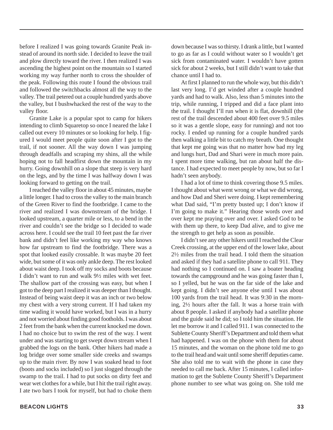before I realized I was going towards Granite Peak instead of around its north side. I decided to leave the trail and plow directly toward the river. I then realized I was ascending the highest point on the mountain so I started working my way further north to cross the shoulder of the peak. Following this route I found the obvious trail and followed the switchbacks almost all the way to the valley. The trail petered out a couple hundred yards above the valley, but I bushwhacked the rest of the way to the valley floor.

Granite Lake is a popular spot to camp for hikers intending to climb Squaretop so once I neared the lake I called out every 10 minutes or so looking for help. I figured I would meet people quite soon after I got to the trail, if not sooner. All the way down I was jumping through deadfalls and scraping my shins, all the while hoping not to fall headfirst down the mountain in my hurry. Going downhill on a slope that steep is very hard on the legs, and by the time I was halfway down I was looking forward to getting on the trail.

I reached the valley floor in about 45 minutes, maybe a little longer. I had to cross the valley to the main branch of the Green River to find the footbridge. I came to the river and realized I was downstream of the bridge. I looked upstream, a quarter mile or less, to a bend in the river and couldn't see the bridge so I decided to wade across here. I could see the trail 10 feet past the far river bank and didn't feel like working my way who knows how far upstream to find the footbridge. There was a spot that looked easily crossable. It was maybe 20 feet wide, but some of it was only ankle deep. The rest looked about waist deep. I took off my socks and boots because I didn't want to run and walk 9½ miles with wet feet. The shallow part of the crossing was easy, but when I got to the deep part I realized it was deeper than I thought. Instead of being waist deep it was an inch or two below my chest with a very strong current. If I had taken my time wading it would have worked, but I was in a hurry and not worried about finding good footholds. I was about 2 feet from the bank when the current knocked me down. I had no choice but to swim the rest of the way. I went under and was starting to get swept down stream when I grabbed the logs on the bank. Other hikers had made a log bridge over some smaller side creeks and swamps up to the main river. By now I was soaked head to foot (boots and socks included) so I just slogged through the swamp to the trail. I had to put socks on dirty feet and wear wet clothes for a while, but I hit the trail right away. I ate two bars I took for myself, but had to choke them

**BEACON LIGHTS 33**

down because I was so thirsty. I drank a little, but I wanted to go as far as I could without water so I wouldn't get sick from contaminated water. I wouldn't have gotten sick for about 2 weeks, but I still didn't want to take that chance until I had to.

At first I planned to run the whole way, but this didn't last very long. I'd get winded after a couple hundred yards and had to walk. Also, less than 5 minutes into the trip, while running, I tripped and did a face plant into the trail. I thought I'll run when it is flat, downhill (the rest of the trail descended about 400 feet over 9.5 miles so it was a gentle slope, easy for running) and not too rocky. I ended up running for a couple hundred yards then walking a little bit to catch my breath. One thought that kept me going was that no matter how bad my leg and lungs hurt, Dad and Shari were in much more pain. I spent more time walking, but ran about half the distance. I had expected to meet people by now, but so far I hadn't seen anybody.

I had a lot of time to think covering those 9.5 miles. I thought about what went wrong or what we did wrong, and how Dad and Sheri were doing. I kept remembering what Dad said, "I'm pretty busted up; I don't know if I'm going to make it." Hearing those words over and over kept me praying over and over. I asked God to be with them up there, to keep Dad alive, and to give me the strength to get help as soon as possible.

I didn't see any other hikers until I reached the Clear Creek crossing, at the upper end of the lower lake, about 2½ miles from the trail head. I told them the situation and asked if they had a satellite phone to call 911. They had nothing so I continued on. I saw a boater heading towards the campground and he was going faster than I, so I yelled, but he was on the far side of the lake and kept going. I didn't see anyone else until I was about 100 yards from the trail head. It was 9:30 in the morning, 2½ hours after the fall. It was a horse train with about 8 people. I asked if anybody had a satellite phone and the guide said he did; so I told him the situation. He let me borrow it and I called 911. I was connected to the Sublette County Sheriff's Department and told them what had happened. I was on the phone with them for about 15 minutes, and the woman on the phone told me to go to the trail head and wait until some sheriff deputies came. She also told me to wait with the phone in case they needed to call me back. After 15 minutes, I called information to get the Sublette County Sheriff's Department phone number to see what was going on. She told me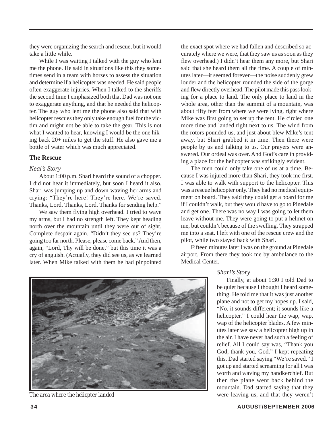they were organizing the search and rescue, but it would take a little while.

While I was waiting I talked with the guy who lent me the phone. He said in situations like this they sometimes send in a team with horses to assess the situation and determine if a helicopter was needed. He said people often exaggerate injuries. When I talked to the sheriffs the second time I emphasized both that Dad was not one to exaggerate anything, and that he needed the helicopter. The guy who lent me the phone also said that with helicopter rescues they only take enough fuel for the victim and might not be able to take the gear. This is not what I wanted to hear, knowing I would be the one hiking back 20+ miles to get the stuff. He also gave me a bottle of water which was much appreciated.

#### **The Rescue**

#### *Neal's Story*

About 1:00 p.m. Shari heard the sound of a chopper. I did not hear it immediately, but soon I heard it also. Shari was jumping up and down waving her arms and crying: "They're here! They're here. We're saved. Thanks, Lord. Thanks, Lord. Thanks for sending help."

We saw them flying high overhead. I tried to wave my arms, but I had no strength left. They kept heading north over the mountain until they were out of sight. Complete despair again. "Didn't they see us? They're going too far north. Please, please come back." And then, again, "Lord, Thy will be done," but this time it was a cry of anguish. (Actually, they did see us, as we learned later. When Mike talked with them he had pinpointed the exact spot where we had fallen and described so accurately where we were, that they saw us as soon as they flew overhead.) I didn't hear them any more, but Shari said that she heard them all the time. A couple of minutes later—it seemed forever—the noise suddenly grew louder and the helicopter rounded the side of the gorge and flew directly overhead. The pilot made this pass looking for a place to land. The only place to land in the whole area, other than the summit of a mountain, was about fifty feet from where we were lying, right where Mike was first going to set up the tent. He circled one more time and landed right next to us. The wind from the rotors pounded us, and just about blew Mike's tent away, but Shari grabbed it in time. Then there were people by us and talking to us. Our prayers were answered. Our ordeal was over. And God's care in providing a place for the helicopter was strikingly evident.

The men could only take one of us at a time. Because I was injured more than Shari, they took me first. I was able to walk with support to the helicopter. This was a rescue helicopter only. They had no medical equipment on board. They said they could get a board for me if I couldn't walk, but they would have to go to Pinedale and get one. There was no way I was going to let them leave without me. They were going to put a helmet on me, but couldn't because of the swelling. They strapped me into a seat. I left with one of the rescue crew and the pilot, while two stayed back with Shari.

Fifteen minutes later I was on the ground at Pinedale airport. From there they took me by ambulance to the Medical Center.

#### *Shari's Story*

Finally, at about 1:30 I told Dad to be quiet because I thought I heard something. He told me that it was just another plane and not to get my hopes up. I said, "No, it sounds different; it sounds like a helicopter." I could hear the wap, wap, wap of the helicopter blades. A few minutes later we saw a helicopter high up in the air. I have never had such a feeling of relief. All I could say was, "Thank you God, thank you, God." I kept repeating this. Dad started saying "We're saved." I got up and started screaming for all I was worth and waving my handkerchief. But then the plane went back behind the mountain. Dad started saying that they **The area where the helicpter landed** were leaving us, and that they weren't

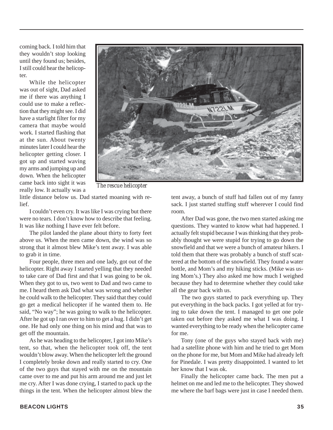coming back. I told him that they wouldn't stop looking until they found us; besides, I still could hear the helicopter.

While the helicopter was out of sight, Dad asked me if there was anything I could use to make a reflection that they might see. I did have a starlight filter for my camera that maybe would work. I started flashing that at the sun. About twenty minutes later I could hear the helicopter getting closer. I got up and started waving my arms and jumping up and down. When the helicopter came back into sight it was really low. It actually was a



*The rescue helicopter*

little distance below us. Dad started moaning with relief.

I couldn't even cry. It was like I was crying but there were no tears. I don't know how to describe that feeling. It was like nothing I have ever felt before.

The pilot landed the plane about thirty to forty feet above us. When the men came down, the wind was so strong that it almost blew Mike's tent away. I was able to grab it in time.

Four people, three men and one lady, got out of the helicopter. Right away I started yelling that they needed to take care of Dad first and that I was going to be ok. When they got to us, two went to Dad and two came to me. I heard them ask Dad what was wrong and whether he could walk to the helicopter. They said that they could go get a medical helicopter if he wanted them to. He said, "No way"; he was going to walk to the helicopter. After he got up I ran over to him to get a hug. I didn't get one. He had only one thing on his mind and that was to get off the mountain.

As he was heading to the helicopter, I got into Mike's tent, so that, when the helicopter took off, the tent wouldn't blow away. When the helicopter left the ground I completely broke down and really started to cry. One of the two guys that stayed with me on the mountain came over to me and put his arm around me and just let me cry. After I was done crying, I started to pack up the things in the tent. When the helicopter almost blew the tent away, a bunch of stuff had fallen out of my fanny sack. I just started stuffing stuff wherever I could find room.

After Dad was gone, the two men started asking me questions. They wanted to know what had happened. I actually felt stupid because I was thinking that they probably thought we were stupid for trying to go down the snowfield and that we were a bunch of amateur hikers. I told them that there was probably a bunch of stuff scattered at the bottom of the snowfield. They found a water bottle, and Mom's and my hiking sticks. (Mike was using Mom's.) They also asked me how much I weighed because they had to determine whether they could take all the gear back with us.

The two guys started to pack everything up. They put everything in the back packs. I got yelled at for trying to take down the tent. I managed to get one pole taken out before they asked me what I was doing. I wanted everything to be ready when the helicopter came for me.

Tony (one of the guys who stayed back with me) had a satellite phone with him and he tried to get Mom on the phone for me, but Mom and Mike had already left for Pinedale. I was pretty disappointed. I wanted to let her know that I was ok.

Finally the helicopter came back. The men put a helmet on me and led me to the helicopter. They showed me where the barf bags were just in case I needed them.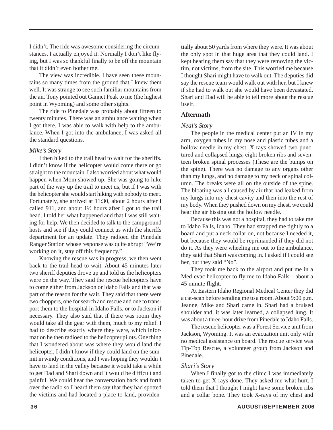I didn't. The ride was awesome considering the circumstances. I actually enjoyed it. Normally I don't like flying, but I was so thankful finally to be off the mountain that it didn't even bother me.

The view was incredible. I have seen these mountains so many times from the ground that I knew them well. It was strange to see such familiar mountains from the air. Tony pointed out Gannet Peak to me (the highest point in Wyoming) and some other sights.

The ride to Pinedale was probably about fifteen to twenty minutes. There was an ambulance waiting when I got there. I was able to walk with help to the ambulance. When I got into the ambulance, I was asked all the standard questions.

#### *Mike's Story*

I then hiked to the trail head to wait for the sheriffs. I didn't know if the helicopter would come there or go straight to the mountain. I also worried about what would happen when Mom showed up. She was going to hike part of the way up the trail to meet us, but if I was with the helicopter she would start hiking with nobody to meet. Fortunately, she arrived at 11:30, about 2 hours after I called 911, and about 1½ hours after I got to the trail head. I told her what happened and that I was still waiting for help. We then decided to talk to the campground hosts and see if they could connect us with the sheriffs department for an update. They radioed the Pinedale Ranger Station whose response was quite abrupt "We're working on it, stay off this frequency."

Knowing the rescue was in progress, we then went back to the trail head to wait. About 45 minutes later two sheriff deputies drove up and told us the helicopters were on the way. They said the rescue helicopters have to come either from Jackson or Idaho Falls and that was part of the reason for the wait. They said that there were two choppers, one for search and rescue and one to transport them to the hospital in Idaho Falls, or to Jackson if necessary. They also said that if there was room they would take all the gear with them, much to my relief. I had to describe exactly where they were, which information he then radioed to the helicopter pilots. One thing that I wondered about was where they would land the helicopter. I didn't know if they could land on the summit in windy conditions, and I was hoping they wouldn't have to land in the valley because it would take a while to get Dad and Shari down and it would be difficult and painful. We could hear the conversation back and forth over the radio so I heard them say that they had spotted the victims and had located a place to land, providentially about 50 yards from where they were. It was about the only spot in that huge area that they could land. I kept hearing them say that they were removing the victim, not victims, from the site. This worried me because I thought Shari might have to walk out. The deputies did say the rescue team would walk out with her, but I knew if she had to walk out she would have been devastated. Shari and Dad will be able to tell more about the rescue itself.

#### **Aftermath**

#### *Neal's Story*

The people in the medical center put an IV in my arm, oxygen tubes in my nose and plastic tubes and a hollow needle in my chest. X-rays showed two punctured and collapsed lungs, eight broken ribs and seventeen broken spinal processes (These are the bumps on the spine). There was no damage to any organs other than my lungs, and no damage to my neck or spinal column. The breaks were all on the outside of the spine. The bloating was all caused by air that had leaked from my lungs into my chest cavity and then into the rest of my body. When they pushed down on my chest, we could hear the air hissing out the hollow needle.

Because this was not a hospital, they had to take me to Idaho Falls, Idaho. They had strapped me tightly to a board and put a neck collar on, not because I needed it, but because they would be reprimanded if they did not do it. As they were wheeling me out to the ambulance, they said that Shari was coming in. I asked if I could see her, but they said "No".

They took me back to the airport and put me in a Med-evac helicopter to fly me to Idaho Falls—about a 45 minute flight.

At Eastern Idaho Regional Medical Center they did a cat-scan before sending me to a room. About 9:00 p.m. Jeanne, Mike and Shari came in. Shari had a bruised shoulder and, it was later learned, a collapsed lung. It was about a three-hour drive from Pinedale to Idaho Falls.

The rescue helicopter was a Forest Service unit from Jackson, Wyoming. It was an evacuation unit only with no medical assistance on board. The rescue service was Tip-Top Rescue, a volunteer group from Jackson and Pinedale.

#### *Shari's Story*

When I finally got to the clinic I was immediately taken to get X-rays done. They asked me what hurt. I told them that I thought I might have some broken ribs and a collar bone. They took X-rays of my chest and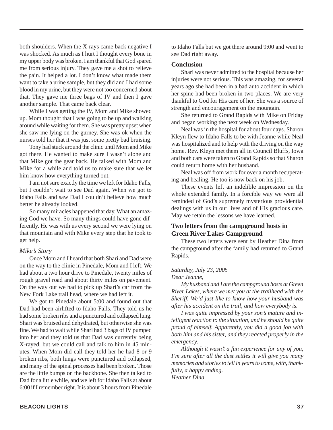both shoulders. When the X-rays came back negative I was shocked. As much as I hurt I thought every bone in my upper body was broken. I am thankful that God spared me from serious injury. They gave me a shot to relieve the pain. It helped a lot. I don't know what made them want to take a urine sample, but they did and I had some blood in my urine, but they were not too concerned about that. They gave me three bags of IV and then I gave another sample. That came back clear.

While I was getting the IV, Mom and Mike showed up. Mom thought that I was going to be up and walking around while waiting for them. She was pretty upset when she saw me lying on the gurney. She was ok when the nurses told her that it was just some pretty bad bruising.

Tony had stuck around the clinic until Mom and Mike got there. He wanted to make sure I wasn't alone and that Mike got the gear back. He talked with Mom and Mike for a while and told us to make sure that we let him know how everything turned out.

I am not sure exactly the time we left for Idaho Falls, but I couldn't wait to see Dad again. When we got to Idaho Falls and saw Dad I couldn't believe how much better he already looked.

So many miracles happened that day. What an amazing God we have. So many things could have gone differently. He was with us every second we were lying on that mountain and with Mike every step that he took to get help.

#### *Mike's Story*

Once Mom and I heard that both Shari and Dad were on the way to the clinic in Pinedale, Mom and I left. We had about a two hour drive to Pinedale, twenty miles of rough gravel road and about thirty miles on pavement. On the way out we had to pick up Shari's car from the New Fork Lake trail head, where we had left it.

We got to Pinedale about 5:00 and found out that Dad had been airlifted to Idaho Falls. They told us he had some broken ribs and a punctured and collapsed lung. Shari was bruised and dehydrated, but otherwise she was fine. We had to wait while Shari had 3 bags of IV pumped into her and they told us that Dad was currently being X-rayed, but we could call and talk to him in 45 minutes. When Mom did call they told her he had 8 or 9 broken ribs, both lungs were punctured and collapsed, and many of the spinal processes had been broken. Those are the little bumps on the backbone. She then talked to Dad for a little while, and we left for Idaho Falls at about 6:00 if I remember right. It is about 3 hours from Pinedale

to Idaho Falls but we got there around 9:00 and went to see Dad right away.

#### **Conclusion**

Shari was never admitted to the hospital because her injuries were not serious. This was amazing, for several years ago she had been in a bad auto accident in which her spine had been broken in two places. We are very thankful to God for His care of her. She was a source of strength and encouragement on the mountain.

She returned to Grand Rapids with Mike on Friday and began working the next week on Wednesday.

Neal was in the hospital for about four days. Sharon Kleyn flew to Idaho Falls to be with Jeanne while Neal was hospitalized and to help with the driving on the way home. Rev. Kleyn met them all in Council Bluffs, Iowa and both cars were taken to Grand Rapids so that Sharon could return home with her husband.

Neal was off from work for over a month recuperating and healing. He too is now back on his job.

These events left an indelible impression on the whole extended family. In a forcible way we were all reminded of God's supremely mysterious providential dealings with us in our lives and of His gracious care. May we retain the lessons we have learned.

#### **Two letters from the campground hosts in Green River Lakes Campground**

These two letters were sent by Heather Dina from the campground after the family had returned to Grand Rapids.

#### *Saturday, July 23, 2005*

*Dear Jeanne,*

*My husband and I are the campground hosts at Green River Lakes, where we met you at the trailhead with the Sheriff. We'd just like to know how your husband was after his accident on the trail, and how everybody is.*

*I was quite impressed by your son's mature and intelligent reaction to the situation, and he should be quite proud of himself. Apparently, you did a good job with both him and his sister, and they reacted properly in the emergency.*

*Although it wasn't a fun experience for any of you, I'm sure after all the dust settles it will give you many memories and stories to tell in years to come, with, thankfully, a happy ending. Heather Dina*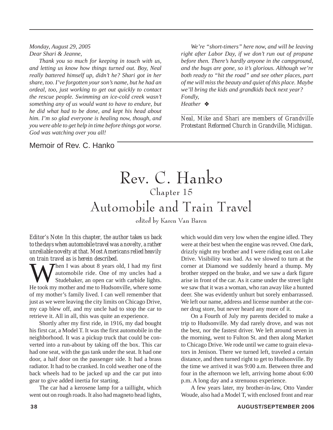*Monday, August 29, 2005 Dear Shari & Jeanne,*

*Thank you so much for keeping in touch with us, and letting us know how things turned out. Boy, Neal really battered himself up, didn't he? Shari got in her share, too. I've forgotten your son's name, but he had an ordeal, too, just working to get out quickly to contact the rescue people. Swimming an ice-cold creek wasn't something any of us would want to have to endure, but he did what had to be done, and kept his head about him. I'm so glad everyone is healing now, though, and you were able to get help in time before things got worse. God was watching over you all!*

*We're "short-timers" here now, and will be leaving right after Labor Day, if we don't run out of propane before then. There's hardly anyone in the campground, and the bugs are gone, so it's glorious. Although we're both ready to "hit the road" and see other places, part of me will miss the beauty and quiet of this place. Maybe we'll bring the kids and grandkids back next year? Fondly, Heather* ❖

*\_\_\_\_\_\_\_\_\_\_\_\_\_\_\_\_\_\_\_\_\_\_\_\_\_\_\_\_\_\_\_\_\_\_\_\_\_\_\_\_\_\_\_\_\_\_\_\_\_ Neal, Mike and Shari are members of Grandville Protestant Reformed Church in Grandville, Michigan.*

#### Memoir of Rev. C. Hanko

### Rev. C. Hanko Chapter 15 Automobile and Train Travel

edited by Karen Van Baren

*Editor's Note: In this chapter, the author takes us back to the days when automobile travel was a novelty, a rather unreliable novelty at that. Most Americans relied heavily on train travel as is herein described.*

Then I was about 8 years old, I had my first automobile ride. One of my uncles had a Studebaker, an open car with carbide lights. He took my mother and me to Hudsonville, where some of my mother's family lived. I can well remember that just as we were leaving the city limits on Chicago Drive, my cap blew off, and my uncle had to stop the car to retrieve it. All in all, this was quite an experience.

Shortly after my first ride, in 1916, my dad bought his first car, a Model T. It was the first automobile in the neighborhood. It was a pickup truck that could be converted into a run-about by taking off the box. This car had one seat, with the gas tank under the seat. It had one door, a half door on the passenger side. It had a brass radiator. It had to be cranked. In cold weather one of the back wheels had to be jacked up and the car put into gear to give added inertia for starting.

The car had a kerosene lamp for a taillight, which went out on rough roads. It also had magneto head lights,

which would dim very low when the engine idled. They were at their best when the engine was revved. One dark, drizzly night my brother and I were riding east on Lake Drive. Visibility was bad. As we slowed to turn at the corner at Diamond we suddenly heard a thump. My brother stepped on the brake, and we saw a dark figure arise in front of the car. As it came under the street light we saw that it was a woman, who ran away like a hunted deer. She was evidently unhurt but sorely embarrassed. We left our name, address and license number at the corner drug store, but never heard any more of it.

On a Fourth of July my parents decided to make a trip to Hudsonville. My dad rarely drove, and was not the best, nor the fastest driver. We left around seven in the morning, went to Fulton St. and then along Market to Chicago Drive. We rode until we came to grain elevators in Jenison. There we turned left, traveled a certain distance, and then turned right to get to Hudsonville. By the time we arrived it was 9:00 a.m. Between three and four in the afternoon we left, arriving home about 6:00 p.m. A long day and a strenuous experience.

A few years later, my brother-in-law, Otto Vander Woude, also had a Model T, with enclosed front and rear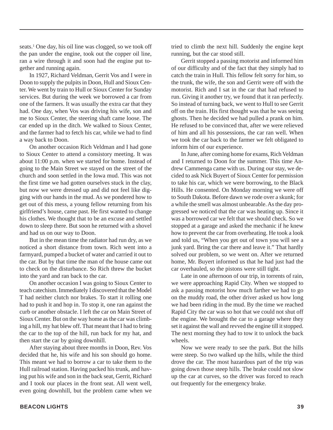seats.<sup>1</sup> One day, his oil line was clogged, so we took off the pan under the engine, took out the copper oil line, ran a wire through it and soon had the engine put together and running again.

In 1927, Richard Veldman, Gerrit Vos and I were in Doon to supply the pulpits in Doon, Hull and Sioux Center. We went by train to Hull or Sioux Center for Sunday services. But during the week we borrowed a car from one of the farmers. It was usually the extra car that they had. One day, when Vos was driving his wife, son and me to Sioux Center, the steering shaft came loose. The car ended up in the ditch. We walked to Sioux Center, and the farmer had to fetch his car, while we had to find a way back to Doon.

On another occasion Rich Veldman and I had gone to Sioux Center to attend a consistory meeting. It was about 11:00 p.m. when we started for home. Instead of going to the Main Street we stayed on the street of the church and soon settled in the Iowa mud. This was not the first time we had gotten ourselves stuck in the clay, but now we were dressed up and did not feel like digging with our hands in the mud. As we pondered how to get out of this mess, a young fellow returning from his girlfriend's house, came past. He first wanted to change his clothes. We thought that to be an excuse and settled down to sleep there. But soon he returned with a shovel and had us on our way to Doon.

But in the mean time the radiator had run dry, as we noticed a short distance from town. Rich went into a farmyard, pumped a bucket of water and carried it out to the car. But by that time the man of the house came out to check on the disturbance. So Rich threw the bucket into the yard and ran back to the car.

On another occasion I was going to Sioux Center to teach catechism. Immediately I discovered that the Model T had neither clutch nor brakes. To start it rolling one had to push it and hop in. To stop it, one ran against the curb or another obstacle. I left the car on Main Street of Sioux Center. But on the way home as the car was climbing a hill, my hat blew off. That meant that I had to bring the car to the top of the hill, run back for my hat, and then start the car by going downhill.

After staying about three months in Doon, Rev. Vos decided that he, his wife and his son should go home. This meant we had to borrow a car to take them to the Hull railroad station. Having packed his trunk, and having put his wife and son in the back seat, Gerrit, Richard and I took our places in the front seat. All went well, even going downhill, but the problem came when we tried to climb the next hill. Suddenly the engine kept running, but the car stood still.

Gerrit stopped a passing motorist and informed him of our difficulty and of the fact that they simply had to catch the train in Hull. This fellow felt sorry for him, so the trunk, the wife, the son and Gerrit were off with the motorist. Rich and I sat in the car that had refused to run. Giving it another try, we found that it ran perfectly. So instead of turning back, we went to Hull to see Gerrit off on the train. His first thought was that he was seeing ghosts. Then he decided we had pulled a prank on him. He refused to be convinced that, after we were relieved of him and all his possessions, the car ran well. When we took the car back to the farmer we felt obligated to inform him of our experience.

In June, after coming home for exams, Rich Veldman and I returned to Doon for the summer. This time Andrew Cammenga came with us. During our stay, we decided to ask Nick Buyert of Sioux Center for permission to take his car, which we were borrowing, to the Black Hills. He consented. On Monday morning we were off to South Dakota. Before dawn we rode over a skunk; for a while the smell was almost unbearable. As the day progressed we noticed that the car was heating up. Since it was a borrowed car we felt that we should check. So we stopped at a garage and asked the mechanic if he knew how to prevent the car from overheating. He took a look and told us, "When you get out of town you will see a junk yard. Bring the car there and leave it." That hardly solved our problem, so we went on. After we returned home, Mr. Buyert informed us that he had just had the car overhauled, so the pistons were still tight.

Late in one afternoon of our trip, in torrents of rain, we were approaching Rapid City. When we stopped to ask a passing motorist how much farther we had to go on the muddy road, the other driver asked us how long we had been riding in the mud. By the time we reached Rapid City the car was so hot that we could not shut off the engine. We brought the car to a garage where they set it against the wall and revved the engine till it stopped. The next morning they had to tow it to unlock the back wheels.

Now we were ready to see the park. But the hills were steep. So two walked up the hills, while the third drove the car. The most hazardous part of the trip was going down those steep hills. The brake could not slow up the car at curves, so the driver was forced to reach out frequently for the emergency brake.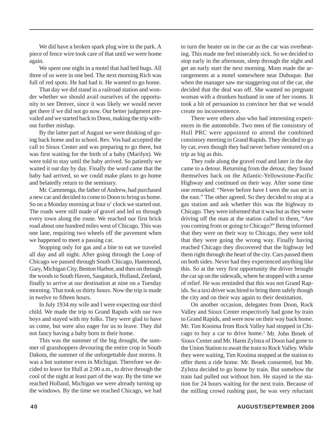We did have a broken spark plug wire in the park. A piece of fence wire took care of that until we were home again.

We spent one night in a motel that had bed bugs. All three of us were in one bed. The next morning Rich was full of red spots. He had had it. He wanted to go home.

That day we did stand in a railroad station and wonder whether we should avail ourselves of the opportunity to see Denver, since it was likely we would never get there if we did not go now. Our better judgment prevailed and we started back to Doon, making the trip without further mishap.

By the latter part of August we were thinking of going back home and to school. Rev. Vos had accepted the call to Sioux Center and was preparing to go there, but was first waiting for the birth of a baby (Marilyn). We were told to stay until the baby arrived. So patiently we waited it out day by day. Finally the word came that the baby had arrived, so we could make plans to go home and belatedly return to the seminary.

Mr. Cammenga, the father of Andrew, had purchased a new car and decided to come to Doon to bring us home. So on a Monday morning at four o' clock we started out. The roads were still made of gravel and led us through every town along the route. We reached our first brick road about one hundred miles west of Chicago. This was one lane, requiring two wheels off the pavement when we happened to meet a passing car.

Stopping only for gas and a bite to eat we traveled all day and all night. After going through the Loop of Chicago we passed through South Chicago, Hammond, Gary, Michigan City, Benton Harbor, and then on through the woods to South Haven, Saugatuck, Holland, Zeeland, finally to arrive at our destination at nine on a Tuesday morning. That took us thirty hours. Now the trip is made in twelve to fifteen hours.

In July 1934 my wife and I were expecting our third child. We made the trip to Grand Rapids with our two boys and stayed with my folks. They were glad to have us come, but were also eager for us to leave. They did not fancy having a baby born in their home.

This was the summer of the big drought, the summer of grasshoppers devouring the entire crop in South Dakota, the summer of the unforgettable dust storms. It was a hot summer even in Michigan. Therefore we decided to leave for Hull at 2:00 a.m., to drive through the cool of the night at least part of the way. By the time we reached Holland, Michigan we were already turning up the windows. By the time we reached Chicago, we had

to turn the heater on in the car as the car was overheating. This made me feel miserably sick. So we decided to stop early in the afternoon, sleep through the night and get an early start the next morning. Mom made the arrangements at a motel somewhere near Dubuque. But when the manager saw me staggering out of the car, she decided that the deal was off. She wanted no pregnant woman with a drunken husband in one of her rooms. It took a bit of persuasion to convince her that we would create no inconvenience.

There were others also who had interesting experiences in the automobile. Two men of the consistory of Hull PRC were appointed to attend the combined consistory meeting in Grand Rapids. They decided to go by car, even though they had never before ventured on a trip as big as this.

They rode along the gravel road and later in the day came to a detour. Returning from the detour, they found themselves back on the Atlantic-Yellowstone-Pacific Highway and continued on their way. After some time one remarked: "Never before have I seen the sun set in the east." The other agreed. So they decided to stop at a gas station and ask whether this was the highway to Chicago. They were informed that it was but as they were driving off the man at the station called to them, "Are you coming from or going to Chicago?" Being informed that they were on their way to Chicago, they were told that they were going the wrong way. Finally having reached Chicago they discovered that the highway led them right through the heart of the city. Cars passed them on both sides. Never had they experienced anything like this. So at the very first opportunity the driver brought the car up on the sidewalk, where he stopped with a sense of relief. He was reminded that this was not Grand Rapids. So a taxi driver was hired to bring them safely though the city and on their way again to their destination.

On another occasion, delegates from Doon, Rock Valley and Sioux Center respectively had gone by train to Grand Rapids, and were now on their way back home. Mr. Tim Kooima from Rock Valley had stopped in Chicago to buy a car to drive home.<sup>2</sup> Mr. John Broek of Sioux Center and Mr. Harm Zylstra of Doon had gone to the Union Station to await the train to Rock Valley. While they were waiting, Tim Kooima stopped at the station to offer them a ride home. Mr. Broek consented, but Mr. Zylstra decided to go home by train. But somehow the train had pulled out without him. He stayed in the station for 24 hours waiting for the next train. Because of the milling crowd rushing past, he was very reluctant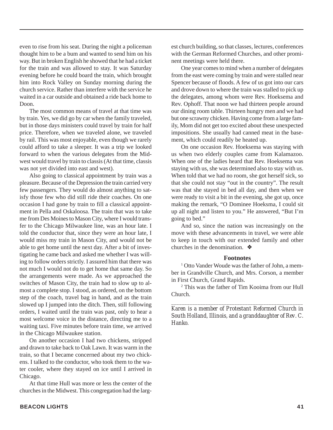even to rise from his seat. During the night a policeman thought him to be a bum and wanted to send him on his way. But in broken English he showed that he had a ticket for the train and was allowed to stay. It was Saturday evening before he could board the train, which brought him into Rock Valley on Sunday morning during the church service. Rather than interfere with the service he waited in a car outside and obtained a ride back home to Doon.

The most common means of travel at that time was by train. Yes, we did go by car when the family traveled, but in those days ministers could travel by train for half price. Therefore, when we traveled alone, we traveled by rail. This was most enjoyable, even though we rarely could afford to take a sleeper. It was a trip we looked forward to when the various delegates from the Midwest would travel by train to classis (At that time, classis was not yet divided into east and west).

Also going to classical appointment by train was a pleasure. Because of the Depression the train carried very few passengers. They would do almost anything to satisfy those few who did still ride their coaches. On one occasion I had gone by train to fill a classical appointment in Pella and Oskaloosa. The train that was to take me from Des Moines to Mason City, where I would transfer to the Chicago Milwaukee line, was an hour late. I told the conductor that, since they were an hour late, I would miss my train in Mason City, and would not be able to get home until the next day. After a bit of investigating he came back and asked me whether I was willing to follow orders strictly. I assured him that there was not much I would not do to get home that same day. So the arrangements were made. As we approached the switches of Mason City, the train had to slow up to almost a complete stop. I stood, as ordered, on the bottom step of the coach, travel bag in hand, and as the train slowed up I jumped into the ditch. Then, still following orders, I waited until the train was past, only to hear a most welcome voice in the distance, directing me to a waiting taxi. Five minutes before train time, we arrived in the Chicago Milwaukee station.

On another occasion I had two chickens, stripped and drawn to take back to Oak Lawn. It was warm in the train, so that I became concerned about my two chickens. I talked to the conductor, who took them to the water cooler, where they stayed on ice until I arrived in Chicago.

At that time Hull was more or less the center of the churches in the Midwest. This congregation had the largest church building, so that classes, lectures, conferences with the German Reformed Churches, and other prominent meetings were held there.

One year comes to mind when a number of delegates from the east were coming by train and were stalled near Spencer because of floods. A few of us got into our cars and drove down to where the train was stalled to pick up the delegates, among whom were Rev. Hoeksema and Rev. Ophoff. That noon we had thirteen people around our dining room table. Thirteen hungry men and we had but one scrawny chicken. Having come from a large family, Mom did not get too excited about these unexpected impositions. She usually had canned meat in the basement, which could readily be heated up.

On one occasion Rev. Hoeksema was staying with us when two elderly couples came from Kalamazoo. When one of the ladies heard that Rev. Hoeksema was staying with us, she was determined also to stay with us. When told that we had no room, she got herself sick, so that she could not stay "out in the country". The result was that she stayed in bed all day, and then when we were ready to visit a bit in the evening, she got up, once making the remark, "O Dominee Hoeksma, I could sit up all night and listen to you." He answered, "But I'm going to bed."

And so, since the nation was increasingly on the move with these advancements in travel, we were able to keep in touch with our extended family and other churches in the denomination. ❖

#### **Footnotes**

<sup>1</sup> Otto Vander Woude was the father of John, a member in Grandville Church, and Mrs. Corson, a member in First Church, Grand Rapids.

2 This was the father of Tim Kooima from our Hull Church.

*\_\_\_\_\_\_\_\_\_\_\_\_\_\_\_\_\_\_\_\_\_\_\_\_\_\_\_\_\_\_\_\_\_\_\_\_\_\_\_\_\_\_\_\_\_\_\_\_\_\_*

*Karen is a member of Protestant Reformed Church in South Holland, Illinois, and a granddaughter of Rev. C. Hanko.*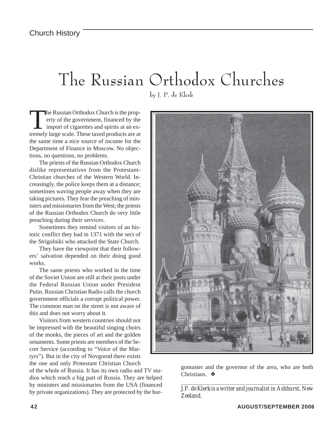# The Russian Orthodox Churches

by J. P. de Klerk

The Russian Orthodox Church is the property of the government, financed by the import of cigarettes and spirits at an exerty of the government, financed by the import of cigarettes and spirits at an extremely large scale. These taxed products are at the same time a nice source of income for the Department of Finance in Moscow. No objections, no questions, no problems.

The priests of the Russian Orthodox Church dislike representatives from the Protestant-Christian churches of the Western World. Increasingly, the police keeps them at a distance; sometimes waving people away when they are taking pictures. They fear the preaching of ministers and missionaries from the West; the priests of the Russian Orthodox Church do very little preaching during their services.

Sometimes they remind visitors of an historic conflict they had in 1371 with the sect of the Strigolniki who attacked the State Church.

They have the viewpoint that their followers' salvation depended on their doing good works.

The same priests who worked in the time of the Soviet Union are still at their posts under the Federal Russian Union under President Putin. Russian Christian Radio calls the church government officials a corrupt political power. The common man on the street is not aware of this and does not worry about it.

Visitors from western countries should not be impressed with the beautiful singing choirs of the monks, the pieces of art and the golden ornaments. Some priests are members of the Secret Service (according to "Voice of the Martyrs"). But in the city of Novgorod there exists the one and only Protestant Christian Church

of the whole of Russia. It has its own radio and TV studios which reach a big part of Russia. They are helped by ministers and missionaries from the USA (financed by private organizations). They are protected by the bur-



gomaster and the governor of the area, who are both Christians. ❖

*\_\_\_\_\_\_\_\_\_\_\_\_\_\_\_\_\_\_\_\_\_\_\_\_\_\_\_\_\_\_\_\_\_\_\_\_\_\_\_\_\_\_\_\_\_\_\_\_\_\_\_\_ J.P. de Klerk is a writer and journalist in Ashhurst, New Zeeland.*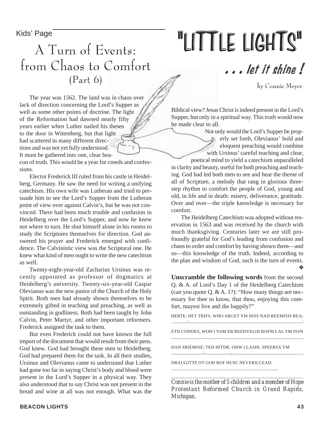Kids' Page

# "LITTLE LIGHTS"

### A Turn of Events: from Chaos to Comfort (Part 6)

by Connie Meyer

. . . let it shine !

The year was 1562. The land was in chaos over lack of direction concerning the Lord's Supper as well as some other points of doctrine. The light of the Reformation had dawned nearly fifty years earlier when Luther nailed his theses to the door in Wittenberg, but that light had scattered in many different directions and was not yet fully understood. It must be gathered into one, clear bea-

con of truth. This would be a year for creeds and confessions.

Elector Frederick III ruled from his castle in Heidelberg, Germany. He saw the need for writing a unifying catechism. His own wife was Lutheran and tried to persuade him to see the Lord's Supper from the Lutheran point of view over against Calvin's, but he was not convinced. There had been much trouble and confusion in Heidelberg over the Lord's Supper, and now he knew not where to turn. He shut himself alone in his rooms to study the Scriptures themselves for direction. God answered his prayer and Frederick emerged with confidence. The Calvinistic view was the Scriptural one. He knew what kind of men ought to write the new catechism as well.

Twenty-eight-year-old Zacharius Ursinus was recently appointed as professor of dogmatics at Heidelberg's university. Twenty-six-year-old Caspar Olevianus was the new pastor of the Church of the Holy Spirit. Both men had already shown themselves to be extremely gifted in teaching and preaching, as well as outstanding in godliness. Both had been taught by John Calvin, Peter Martyr, and other important reformers. Frederick assigned the task to them.

But even Frederick could not have known the full import of the document that would result from their pens. God knew. God had brought these men to Heidelberg. God had prepared them for the task. In all their studies, Ursinus and Olevianus came to understand that Luther had gone too far in saying Christ's body and blood were present in the Lord's Supper in a physical way. They also understood that to say Christ was not present in the bread and wine at all was not enough. What was the

Biblical view? Jesus Christ is indeed present in the Lord's Supper, but only in a spiritual way. This truth would now be made clear to all.

Not only would the Lord's Supper be properly set forth, Olevianus' bold and eloquent preaching would combine with Ursinus' careful teaching and clear,

poetical mind to yield a catechism unparalleled in clarity and beauty, useful for both preaching and teaching. God had led both men to see and hear the theme of all of Scripture, a melody that rang in glorious threestep rhythm to comfort the people of God, young and old, in life and in death: misery, deliverance, gratitude. Over and over—the triple knowledge is necessary for comfort.

The Heidelberg Catechism was adopted without reservation in 1563 and was received by the church with much thanksgiving. Centuries later we are still profoundly grateful for God's leading from confusion and chaos to order and comfort by having shown them—and us—this knowledge of the truth. Indeed, according to the plan and wisdom of God, such is the turn of events. ❖

**Unscramble the following words** from the second Q. & A. of Lord's Day 1 of the Heidelberg Catechism (can you quote Q. & A. 1?): "How many things are necessary for thee to know, that thou, enjoying this comfort, mayest live and die happily?"

HERTE; HET TRIFS, WHO ARGET YM NISS NAD REEMISIS REA; \_\_\_\_\_\_\_;\_\_\_\_\_\_\_\_\_\_,\_\_\_\_\_\_\_\_\_\_\_\_\_\_\_\_\_\_\_\_\_\_\_\_\_\_\_\_\_\_\_\_\_\_\_\_\_\_\_\_;

ETH CONDES, WOH I YAM EB REEDVELID ROFM LAL YM ISSN \_\_\_\_\_\_\_\_\_\_\_\_\_\_,\_\_\_\_\_\_\_\_\_\_\_\_\_\_\_\_\_\_\_\_\_\_\_\_\_\_\_\_\_\_\_\_\_\_\_\_\_\_\_\_\_\_\_\_\_\_\_\_

\_\_\_\_\_\_\_\_\_\_\_\_\_\_\_\_;\_\_\_\_\_\_\_\_\_\_\_\_\_,\_\_\_\_\_\_\_\_\_\_\_\_\_\_\_\_\_\_\_\_\_\_\_\_\_\_\_\_\_\_\_\_\_\_\_

DAN SRIEMISE; TEH HITDR, OHW I LASHL SPEERSX YM

DRAUGITTE OT GOD ROF HUSC NEVERILCEAD. \_\_\_\_\_\_\_\_\_\_\_\_\_\_\_\_\_\_\_\_\_\_\_\_\_\_\_\_\_\_\_\_\_\_\_\_\_\_\_\_\_\_\_\_\_.

*Connie is the mother of 5 children and a member of Hope Protestant Reformed Church in Grand Rapids, Michigan.*

*\_\_\_\_\_\_\_\_\_\_\_\_\_\_\_\_\_\_\_\_\_\_\_\_\_\_\_\_\_\_\_\_\_\_\_\_\_\_\_\_\_\_\_\_\_\_\_\_*